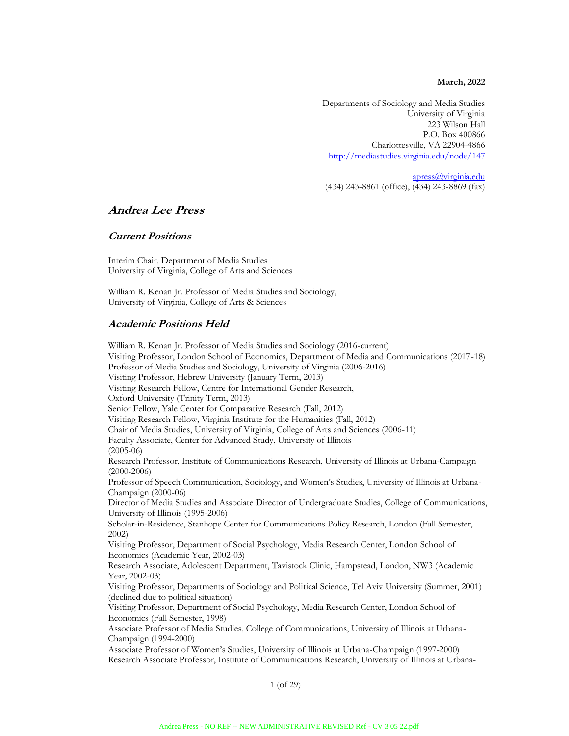**March, 2022**

Departments of Sociology and Media Studies University of Virginia 223 Wilson Hall P.O. Box 400866 Charlottesville, VA 22904-4866 http://mediastudies.virginia.edu/node/147

apress@virginia.edu (434) 243-8861 (office), (434) 243-8869 (fax)

# **Andrea Lee Press**

## **Current Positions**

Interim Chair, Department of Media Studies University of Virginia, College of Arts and Sciences

William R. Kenan Jr. Professor of Media Studies and Sociology, University of Virginia, College of Arts & Sciences

## **Academic Positions Held**

William R. Kenan Jr. Professor of Media Studies and Sociology (2016-current) Visiting Professor, London School of Economics, Department of Media and Communications (2017-18) Professor of Media Studies and Sociology, University of Virginia (2006-2016) Visiting Professor, Hebrew University (January Term, 2013) Visiting Research Fellow, Centre for International Gender Research, Oxford University (Trinity Term, 2013) Senior Fellow, Yale Center for Comparative Research (Fall, 2012) Visiting Research Fellow, Virginia Institute for the Humanities (Fall, 2012) Chair of Media Studies, University of Virginia, College of Arts and Sciences (2006-11) Faculty Associate, Center for Advanced Study, University of Illinois (2005-06) Research Professor, Institute of Communications Research, University of Illinois at Urbana-Campaign (2000-2006) Professor of Speech Communication, Sociology, and Women's Studies, University of Illinois at Urbana-Champaign (2000-06) Director of Media Studies and Associate Director of Undergraduate Studies, College of Communications, University of Illinois (1995-2006) Scholar-in-Residence, Stanhope Center for Communications Policy Research, London (Fall Semester, 2002) Visiting Professor, Department of Social Psychology, Media Research Center, London School of Economics (Academic Year, 2002-03) Research Associate, Adolescent Department, Tavistock Clinic, Hampstead, London, NW3 (Academic Year, 2002-03) Visiting Professor, Departments of Sociology and Political Science, Tel Aviv University (Summer, 2001) (declined due to political situation) Visiting Professor, Department of Social Psychology, Media Research Center, London School of Economics (Fall Semester, 1998) Associate Professor of Media Studies, College of Communications, University of Illinois at Urbana-Champaign (1994-2000) Associate Professor of Women's Studies, University of Illinois at Urbana-Champaign (1997-2000) Research Associate Professor, Institute of Communications Research, University of Illinois at Urbana-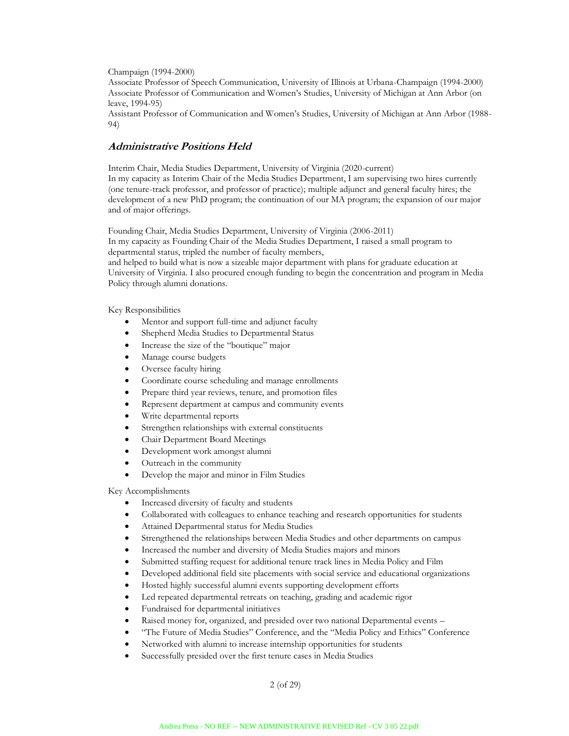#### Champaign (1994-2000)

Associate Professor of Speech Communication, University of Illinois at Urbana-Champaign (1994-2000) Associate Professor of Communication and Women's Studies, University of Michigan at Ann Arbor (on leave, 1994-95)

Assistant Professor of Communication and Women's Studies, University of Michigan at Ann Arbor (1988- 94)

### **Administrative Positions Held**

Interim Chair, Media Studies Department, University of Virginia (2020-current) In my capacity as Interim Chair of the Media Studies Department, I am supervising two hires currently (one tenure-track professor, and professor of practice); multiple adjunct and general faculty hires; the development of a new PhD program; the continuation of our MA program; the expansion of our major and of major offerings.

Founding Chair, Media Studies Department, University of Virginia (2006-2011) In my capacity as Founding Chair of the Media Studies Department, I raised a small program to departmental status, tripled the number of faculty members,

and helped to build what is now a sizeable major department with plans for graduate education at University of Virginia. I also procured enough funding to begin the concentration and program in Media Policy through alumni donations.

#### Key Responsibilities

- Mentor and support full-time and adjunct faculty
- Shepherd Media Studies to Departmental Status
- Increase the size of the "boutique" major
- Manage course budgets
- Oversee faculty hiring
- Coordinate course scheduling and manage enrollments
- Prepare third year reviews, tenure, and promotion files
- Represent department at campus and community events
- Write departmental reports
- Strengthen relationships with external constituents
- Chair Department Board Meetings
- Development work amongst alumni
- Outreach in the community
- Develop the major and minor in Film Studies

#### Key Accomplishments

- Increased diversity of faculty and students
- Collaborated with colleagues to enhance teaching and research opportunities for students
- Attained Departmental status for Media Studies
- Strengthened the relationships between Media Studies and other departments on campus
- Increased the number and diversity of Media Studies majors and minors
- Submitted staffing request for additional tenure track lines in Media Policy and Film
- Developed additional field site placements with social service and educational organizations
- Hosted highly successful alumni events supporting development efforts
- Led repeated departmental retreats on teaching, grading and academic rigor
- Fundraised for departmental initiatives
- Raised money for, organized, and presided over two national Departmental events -
- "The Future of Media Studies" Conference, and the "Media Policy and Ethics" Conference
- Networked with alumni to increase internship opportunities for students
- Successfully presided over the first tenure cases in Media Studies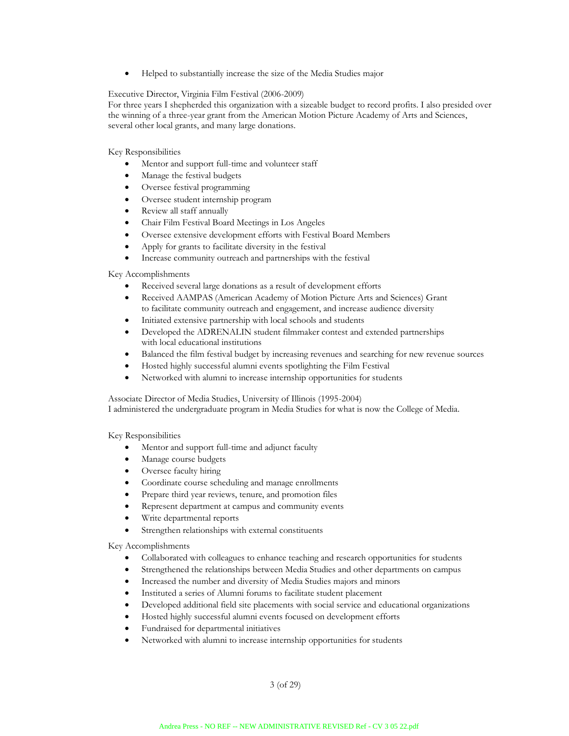• Helped to substantially increase the size of the Media Studies major

#### Executive Director, Virginia Film Festival (2006-2009)

For three years I shepherded this organization with a sizeable budget to record profits. I also presided over the winning of a three-year grant from the American Motion Picture Academy of Arts and Sciences, several other local grants, and many large donations.

Key Responsibilities

- Mentor and support full-time and volunteer staff
- Manage the festival budgets
- Oversee festival programming
- Oversee student internship program
- Review all staff annually
- Chair Film Festival Board Meetings in Los Angeles
- Oversee extensive development efforts with Festival Board Members
- Apply for grants to facilitate diversity in the festival
- Increase community outreach and partnerships with the festival

Key Accomplishments

- Received several large donations as a result of development efforts
- Received AAMPAS (American Academy of Motion Picture Arts and Sciences) Grant to facilitate community outreach and engagement, and increase audience diversity
- Initiated extensive partnership with local schools and students
- Developed the ADRENALIN student filmmaker contest and extended partnerships with local educational institutions
- Balanced the film festival budget by increasing revenues and searching for new revenue sources
- Hosted highly successful alumni events spotlighting the Film Festival
- Networked with alumni to increase internship opportunities for students

Associate Director of Media Studies, University of Illinois (1995-2004)

I administered the undergraduate program in Media Studies for what is now the College of Media.

Key Responsibilities

- Mentor and support full-time and adjunct faculty
- Manage course budgets
- Oversee faculty hiring
- Coordinate course scheduling and manage enrollments
- Prepare third year reviews, tenure, and promotion files
- Represent department at campus and community events
- Write departmental reports
- Strengthen relationships with external constituents

Key Accomplishments

- Collaborated with colleagues to enhance teaching and research opportunities for students
- Strengthened the relationships between Media Studies and other departments on campus
- Increased the number and diversity of Media Studies majors and minors
- Instituted a series of Alumni forums to facilitate student placement
- Developed additional field site placements with social service and educational organizations
- Hosted highly successful alumni events focused on development efforts
- Fundraised for departmental initiatives
- Networked with alumni to increase internship opportunities for students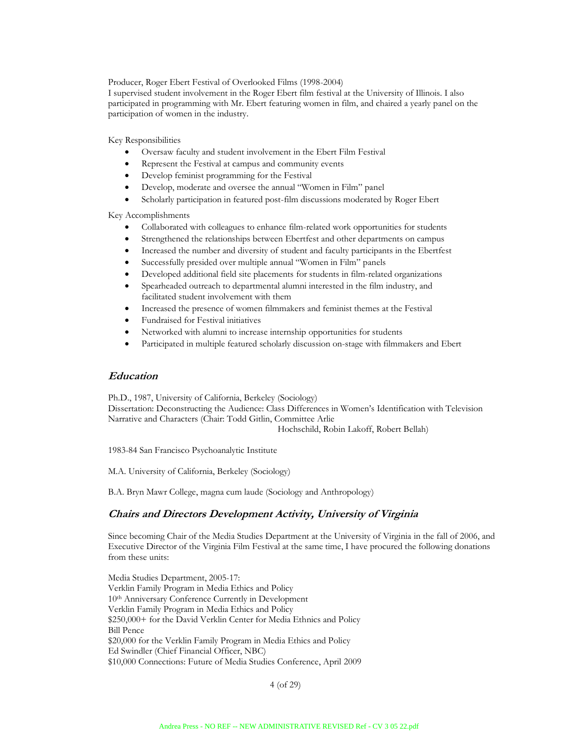Producer, Roger Ebert Festival of Overlooked Films (1998-2004)

I supervised student involvement in the Roger Ebert film festival at the University of Illinois. I also participated in programming with Mr. Ebert featuring women in film, and chaired a yearly panel on the participation of women in the industry.

Key Responsibilities

- Oversaw faculty and student involvement in the Ebert Film Festival
- Represent the Festival at campus and community events
- Develop feminist programming for the Festival
- Develop, moderate and oversee the annual "Women in Film" panel
- Scholarly participation in featured post-film discussions moderated by Roger Ebert

Key Accomplishments

- Collaborated with colleagues to enhance film-related work opportunities for students
- Strengthened the relationships between Ebertfest and other departments on campus
- Increased the number and diversity of student and faculty participants in the Ebertfest
- Successfully presided over multiple annual "Women in Film" panels
- Developed additional field site placements for students in film-related organizations
- Spearheaded outreach to departmental alumni interested in the film industry, and facilitated student involvement with them
- Increased the presence of women filmmakers and feminist themes at the Festival
- Fundraised for Festival initiatives
- Networked with alumni to increase internship opportunities for students
- Participated in multiple featured scholarly discussion on-stage with filmmakers and Ebert

#### **Education**

Ph.D., 1987, University of California, Berkeley (Sociology) Dissertation: Deconstructing the Audience: Class Differences in Women's Identification with Television Narrative and Characters (Chair: Todd Gitlin, Committee Arlie

Hochschild, Robin Lakoff, Robert Bellah)

1983-84 San Francisco Psychoanalytic Institute

M.A. University of California, Berkeley (Sociology)

B.A. Bryn Mawr College, magna cum laude (Sociology and Anthropology)

## **Chairs and Directors Development Activity, University of Virginia**

Since becoming Chair of the Media Studies Department at the University of Virginia in the fall of 2006, and Executive Director of the Virginia Film Festival at the same time, I have procured the following donations from these units:

Media Studies Department, 2005-17: Verklin Family Program in Media Ethics and Policy 10th Anniversary Conference Currently in Development Verklin Family Program in Media Ethics and Policy \$250,000+ for the David Verklin Center for Media Ethnics and Policy Bill Pence \$20,000 for the Verklin Family Program in Media Ethics and Policy Ed Swindler (Chief Financial Officer, NBC) \$10,000 Connections: Future of Media Studies Conference, April 2009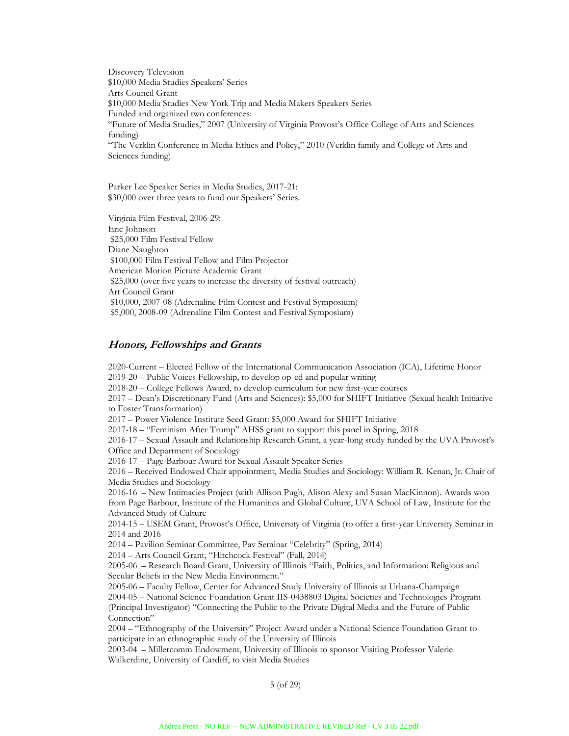Discovery Television \$10,000 Media Studies Speakers' Series Arts Council Grant \$10,000 Media Studies New York Trip and Media Makers Speakers Series Funded and organized two conferences: "Future of Media Studies," 2007 (University of Virginia Provost's Office College of Arts and Sciences funding) "The Verklin Conference in Media Ethics and Policy," 2010 (Verklin family and College of Arts and Sciences funding)

Parker Lee Speaker Series in Media Studies, 2017-21: \$30,000 over three years to fund our Speakers' Series.

Virginia Film Festival, 2006-29: Eric Johnson \$25,000 Film Festival Fellow Diane Naughton \$100,000 Film Festival Fellow and Film Projector American Motion Picture Academic Grant \$25,000 (over five years to increase the diversity of festival outreach) Art Council Grant \$10,000, 2007-08 (Adrenaline Film Contest and Festival Symposium) \$5,000, 2008-09 (Adrenaline Film Contest and Festival Symposium)

## **Honors, Fellowships and Grants**

2020-Current – Elected Fellow of the International Communication Association (ICA), Lifetime Honor 2019-20 – Public Voices Fellowship, to develop op-ed and popular writing 2018-20 – College Fellows Award, to develop curriculum for new first-year courses 2017 – Dean's Discretionary Fund (Arts and Sciences): \$5,000 for SHIFT Initiative (Sexual health Initiative to Foster Transformation) 2017 – Power Violence Institute Seed Grant: \$5,000 Award for SHIFT Initiative 2017-18 – "Feminism After Trump" AHSS grant to support this panel in Spring, 2018 2016-17 – Sexual Assault and Relationship Research Grant, a year-long study funded by the UVA Provost's Office and Department of Sociology 2016-17 – Page-Barbour Award for Sexual Assault Speaker Series 2016 – Received Endowed Chair appointment, Media Studies and Sociology: William R. Kenan, Jr. Chair of Media Studies and Sociology 2016-16 – New Intimacies Project (with Allison Pugh, Alison Alexy and Susan MacKinnon). Awards won from Page Barbour, Institute of the Humanities and Global Culture, UVA School of Law, Institute for the Advanced Study of Culture 2014-15 – USEM Grant, Provost's Office, University of Virginia (to offer a first-year University Seminar in 2014 and 2016 2014 – Pavilion Seminar Committee, Pav Seminar "Celebrity" (Spring, 2014) 2014 – Arts Council Grant, "Hitchcock Festival" (Fall, 2014) 2005-06 – Research Board Grant, University of Illinois "Faith, Politics, and Information: Religious and Secular Beliefs in the New Media Environment." 2005-06 – Faculty Fellow, Center for Advanced Study University of Illinois at Urbana-Champaign 2004-05 – National Science Foundation Grant IIS-0438803 Digital Societies and Technologies Program (Principal Investigator) "Connecting the Public to the Private Digital Media and the Future of Public Connection" 2004 – "Ethnography of the University" Project Award under a National Science Foundation Grant to participate in an ethnographic study of the University of Illinois

2003-04 – Millercomm Endowment, University of Illinois to sponsor Visiting Professor Valerie Walkerdine, University of Cardiff, to visit Media Studies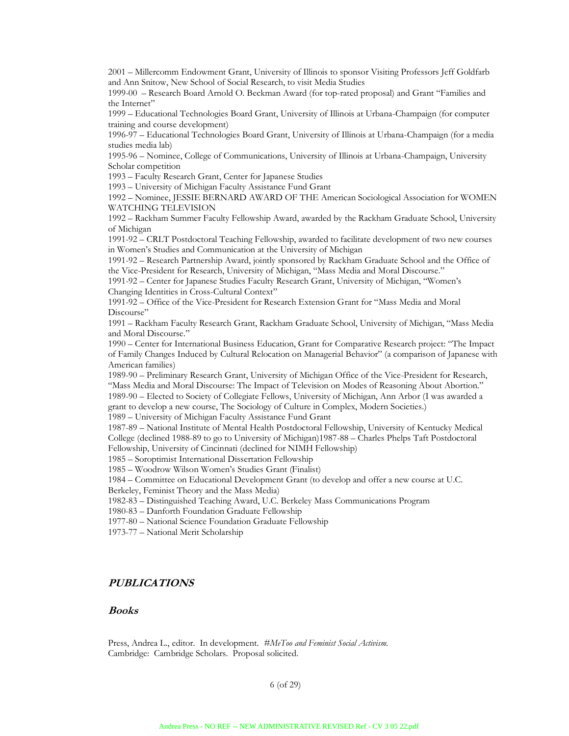2001 – Millercomm Endowment Grant, University of Illinois to sponsor Visiting Professors Jeff Goldfarb and Ann Snitow, New School of Social Research, to visit Media Studies

1999-00 – Research Board Arnold O. Beckman Award (for top-rated proposal) and Grant "Families and the Internet"

1999 – Educational Technologies Board Grant, University of Illinois at Urbana-Champaign (for computer training and course development)

1996-97 – Educational Technologies Board Grant, University of Illinois at Urbana-Champaign (for a media studies media lab)

1995-96 – Nominee, College of Communications, University of Illinois at Urbana-Champaign, University Scholar competition

1993 – Faculty Research Grant, Center for Japanese Studies

1993 – University of Michigan Faculty Assistance Fund Grant

1992 – Nominee, JESSIE BERNARD AWARD OF THE American Sociological Association for WOMEN WATCHING TELEVISION

1992 – Rackham Summer Faculty Fellowship Award, awarded by the Rackham Graduate School, University of Michigan

1991-92 – CRLT Postdoctoral Teaching Fellowship, awarded to facilitate development of two new courses in Women's Studies and Communication at the University of Michigan

1991-92 – Research Partnership Award, jointly sponsored by Rackham Graduate School and the Office of the Vice-President for Research, University of Michigan, "Mass Media and Moral Discourse."

1991-92 – Center for Japanese Studies Faculty Research Grant, University of Michigan, "Women's Changing Identities in Cross-Cultural Context"

1991-92 – Office of the Vice-President for Research Extension Grant for "Mass Media and Moral Discourse"

1991 – Rackham Faculty Research Grant, Rackham Graduate School, University of Michigan, "Mass Media and Moral Discourse."

1990 – Center for International Business Education, Grant for Comparative Research project: "The Impact of Family Changes Induced by Cultural Relocation on Managerial Behavior" (a comparison of Japanese with American families)

1989-90 – Preliminary Research Grant, University of Michigan Office of the Vice-President for Research, "Mass Media and Moral Discourse: The Impact of Television on Modes of Reasoning About Abortion." 1989-90 – Elected to Society of Collegiate Fellows, University of Michigan, Ann Arbor (I was awarded a

grant to develop a new course, The Sociology of Culture in Complex, Modern Societies.)

1989 – University of Michigan Faculty Assistance Fund Grant

1987-89 – National Institute of Mental Health Postdoctoral Fellowship, University of Kentucky Medical College (declined 1988-89 to go to University of Michigan)1987-88 – Charles Phelps Taft Postdoctoral Fellowship, University of Cincinnati (declined for NIMH Fellowship)

1985 – Soroptimist International Dissertation Fellowship

1985 – Woodrow Wilson Women's Studies Grant (Finalist)

1984 – Committee on Educational Development Grant (to develop and offer a new course at U.C.

Berkeley, Feminist Theory and the Mass Media)

1982-83 – Distinguished Teaching Award, U.C. Berkeley Mass Communications Program

1980-83 – Danforth Foundation Graduate Fellowship

1977-80 – National Science Foundation Graduate Fellowship

1973-77 – National Merit Scholarship

## **PUBLICATIONS**

### **Books**

Press, Andrea L., editor. In development*. #MeToo and Feminist Social Activism.* Cambridge: Cambridge Scholars. Proposal solicited.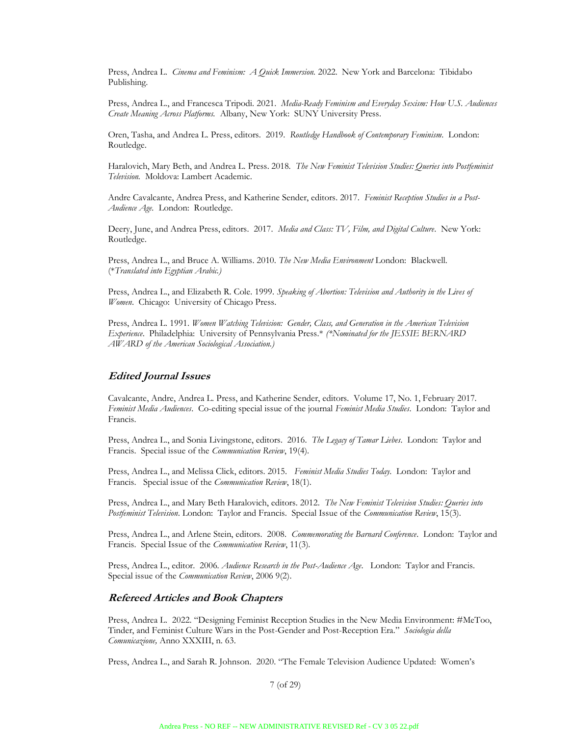Press, Andrea L. *Cinema and Feminism: A Quick Immersion.* 2022. New York and Barcelona: Tibidabo Publishing.

Press, Andrea L., and Francesca Tripodi. 2021. *Media-Ready Feminism and Everyday Sexism: How U.S. Audiences Create Meaning Across Platforms.* Albany, New York: SUNY University Press.

Oren, Tasha, and Andrea L. Press, editors. 2019. *Routledge Handbook of Contemporary Feminism*. London: Routledge.

Haralovich, Mary Beth, and Andrea L. Press. 2018. *The New Feminist Television Studies: Queries into Postfeminist Television.* Moldova: Lambert Academic.

Andre Cavalcante, Andrea Press, and Katherine Sender, editors. 2017. *Feminist Reception Studies in a Post-Audience Age.* London: Routledge.

Deery, June, and Andrea Press, editors. 2017. *Media and Class: TV, Film, and Digital Culture*. New York: Routledge.

Press, Andrea L., and Bruce A. Williams. 2010. *The New Media Environment* London: Blackwell. (\**Translated into Egyptian Arabic.)*

Press, Andrea L., and Elizabeth R. Cole. 1999. *Speaking of Abortion: Television and Authority in the Lives of Women*. Chicago: University of Chicago Press.

Press, Andrea L. 1991. *Women Watching Television: Gender, Class, and Generation in the American Television Experience*. Philadelphia: University of Pennsylvania Press.\* *(\*Nominated for the JESSIE BERNARD AWARD of the American Sociological Association.)*

#### **Edited Journal Issues**

Cavalcante, Andre, Andrea L. Press, and Katherine Sender, editors. Volume 17, No. 1, February 2017. *Feminist Media Audiences*. Co-editing special issue of the journal *Feminist Media Studies*. London: Taylor and Francis.

Press, Andrea L., and Sonia Livingstone, editors. 2016. *The Legacy of Tamar Liebes*. London: Taylor and Francis. Special issue of the *Communication Review*, 19(4).

Press, Andrea L., and Melissa Click, editors. 2015. *Feminist Media Studies Today*. London: Taylor and Francis. Special issue of the *Communication Review*, 18(1).

Press, Andrea L., and Mary Beth Haralovich, editors. 2012. *The New Feminist Television Studies: Queries into Postfeminist Television*. London: Taylor and Francis. Special Issue of the *Communication Review*, 15(3).

Press, Andrea L., and Arlene Stein, editors. 2008. *Commemorating the Barnard Conference*. London: Taylor and Francis. Special Issue of the *Communication Review*, 11(3).

Press, Andrea L., editor. 2006. *Audience Research in the Post-Audience Age*. London: Taylor and Francis. Special issue of the *Communication Review*, 2006 9(2).

#### **Refereed Articles and Book Chapters**

Press, Andrea L. 2022. "Designing Feminist Reception Studies in the New Media Environment: #MeToo, Tinder, and Feminist Culture Wars in the Post-Gender and Post-Reception Era." *Sociologia della Comunicazione,* Anno XXXIII, n. 63.

Press, Andrea L., and Sarah R. Johnson. 2020. "The Female Television Audience Updated: Women's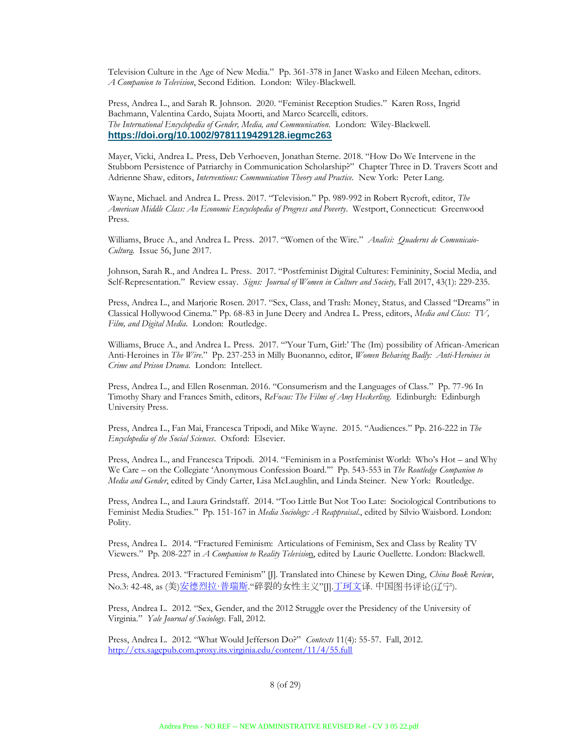Television Culture in the Age of New Media." Pp. 361-378 in Janet Wasko and Eileen Meehan, editors. *A Companion to Television*, Second Edition. London: Wiley-Blackwell.

Press, Andrea L., and Sarah R. Johnson. 2020. "Feminist Reception Studies." Karen Ross, Ingrid Bachmann, Valentina Cardo, Sujata Moorti, and Marco Scarcelli, editors. *The International Encyclopedia of Gender, Media, and Communication.* London: Wiley-Blackwell. **https://doi.org/10.1002/9781119429128.iegmc263**

Mayer, Vicki, Andrea L. Press, Deb Verhoeven, Jonathan Sterne. 2018. "How Do We Intervene in the Stubborn Persistence of Patriarchy in Communication Scholarship?" Chapter Three in D. Travers Scott and Adrienne Shaw, editors, *Interventions: Communication Theory and Practice.* New York: Peter Lang.

Wayne, Michael. and Andrea L. Press. 2017. "Television." Pp. 989-992 in Robert Rycroft, editor, *The American Middle Class: An Economic Encyclopedia of Progress and Poverty*. Westport, Connecticut: Greenwood Press.

Williams, Bruce A., and Andrea L. Press. 2017. "Women of the Wire." *Analisi: Quaderns de Comunicaio-Cultura.* Issue 56, June 2017.

Johnson, Sarah R., and Andrea L. Press. 2017. "Postfeminist Digital Cultures: Femininity, Social Media, and Self-Representation." Review essay. *Signs: Journal of Women in Culture and Society,* Fall 2017, 43(1): 229-235.

Press, Andrea L., and Marjorie Rosen. 2017. "Sex, Class, and Trash: Money, Status, and Classed "Dreams" in Classical Hollywood Cinema." Pp. 68-83 in June Deery and Andrea L. Press, editors, *Media and Class: TV, Film, and Digital Media*. London: Routledge.

Williams, Bruce A., and Andrea L. Press. 2017. "'Your Turn, Girl:' The (Im) possibility of African-American Anti-Heroines in *The Wire*." Pp. 237-253 in Milly Buonanno, editor, *Women Behaving Badly: Anti-Heroines in Crime and Prison Drama*. London: Intellect.

Press, Andrea L., and Ellen Rosenman. 2016. "Consumerism and the Languages of Class." Pp. 77-96 In Timothy Shary and Frances Smith, editors, *ReFocus: The Films of Amy Heckerling*. Edinburgh: Edinburgh University Press.

Press, Andrea L., Fan Mai, Francesca Tripodi, and Mike Wayne. 2015. "Audiences." Pp. 216-222 in *The Encyclopedia of the Social Sciences*. Oxford: Elsevier.

Press, Andrea L., and Francesca Tripodi. 2014. "Feminism in a Postfeminist World: Who's Hot – and Why We Care – on the Collegiate 'Anonymous Confession Board.'" Pp. 543-553 in *The Routledge Companion to Media and Gender*, edited by Cindy Carter, Lisa McLaughlin, and Linda Steiner. New York: Routledge.

Press, Andrea L., and Laura Grindstaff. 2014. "Too Little But Not Too Late: Sociological Contributions to Feminist Media Studies." Pp. 151-167 in *Media Sociology: A Reappraisal*., edited by Silvio Waisbord. London: Polity.

Press, Andrea L. 2014. "Fractured Feminism: Articulations of Feminism, Sex and Class by Reality TV Viewers." Pp. 208-227 in *A Companion to Reality Televisio*n, edited by Laurie Ouellette. London: Blackwell.

Press, Andrea. 2013. "Fractured Feminism" [J]. Translated into Chinese by Kewen Ding, *China Book Review*, No.3: 42-48, as (美)<u>安德烈拉·普瑞斯</u> "碎裂的女性主义"[J].<u>丁珂文</u>译. 中国图书评论(辽宁).

Press, Andrea L. 2012. "Sex, Gender, and the 2012 Struggle over the Presidency of the University of Virginia." *Yale Journal of Sociology*. Fall, 2012.

Press, Andrea L. 2012. "What Would Jefferson Do?" *Contexts* 11(4): 55-57. Fall, 2012. http://ctx.sagepub.com.proxy.its.virginia.edu/content/11/4/55.full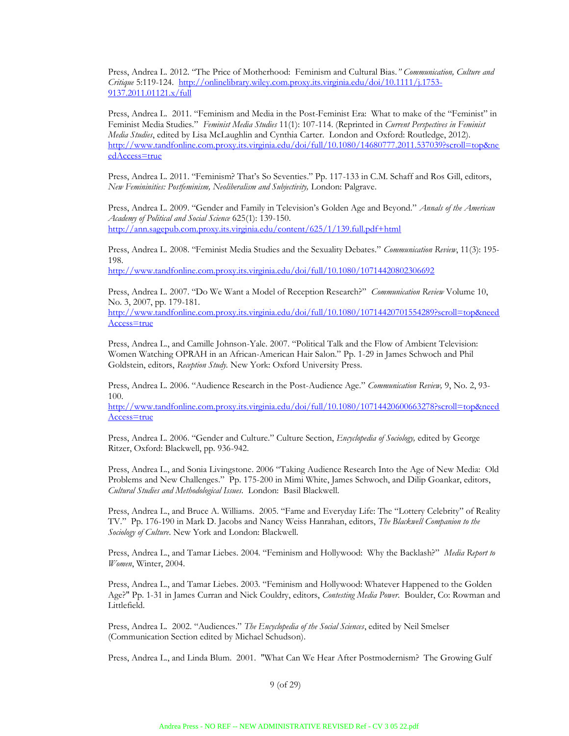Press, Andrea L. 2012. "The Price of Motherhood: Feminism and Cultural Bias*." Communication, Culture and Critique* 5:119-124. http://onlinelibrary.wiley.com.proxy.its.virginia.edu/doi/10.1111/j.1753- 9137.2011.01121.x/full

Press, Andrea L. 2011. "Feminism and Media in the Post-Feminist Era: What to make of the "Feminist" in Feminist Media Studies." *Feminist Media Studies* 11(1): 107-114. (Reprinted in *Current Perspectives in Feminist Media Studies*, edited by Lisa McLaughlin and Cynthia Carter. London and Oxford: Routledge, 2012). http://www.tandfonline.com.proxy.its.virginia.edu/doi/full/10.1080/14680777.2011.537039?scroll=top&ne edAccess=true

Press, Andrea L. 2011. "Feminism? That's So Seventies." Pp. 117-133 in C.M. Schaff and Ros Gill, editors, *New Femininities: Postfeminism, Neoliberalism and Subjectivity,* London: Palgrave.

Press, Andrea L. 2009. "Gender and Family in Television's Golden Age and Beyond." *Annals of the American Academy of Political and Social Science* 625(1): 139-150. http://ann.sagepub.com.proxy.its.virginia.edu/content/625/1/139.full.pdf+html

Press, Andrea L. 2008. "Feminist Media Studies and the Sexuality Debates." *Communication Review*, 11(3): 195- 198.

http://www.tandfonline.com.proxy.its.virginia.edu/doi/full/10.1080/10714420802306692

Press, Andrea L. 2007. "Do We Want a Model of Reception Research?" *Communication Review* Volume 10, No. 3, 2007, pp. 179-181.

http://www.tandfonline.com.proxy.its.virginia.edu/doi/full/10.1080/10714420701554289?scroll=top&need Access=true

Press, Andrea L., and Camille Johnson-Yale. 2007. "Political Talk and the Flow of Ambient Television: Women Watching OPRAH in an African-American Hair Salon." Pp. 1-29 in James Schwoch and Phil Goldstein, editors, *Reception Study.* New York: Oxford University Press.

Press, Andrea L. 2006. "Audience Research in the Post-Audience Age." *Communication Review,* 9, No. 2, 93- 100.

http://www.tandfonline.com.proxy.its.virginia.edu/doi/full/10.1080/10714420600663278?scroll=top&need Access=true

Press, Andrea L. 2006. "Gender and Culture." Culture Section, *Encyclopedia of Sociology,* edited by George Ritzer, Oxford: Blackwell, pp. 936-942.

Press, Andrea L., and Sonia Livingstone. 2006 "Taking Audience Research Into the Age of New Media: Old Problems and New Challenges." Pp. 175-200 in Mimi White, James Schwoch, and Dilip Goankar, editors, *Cultural Studies and Methodological Issues*. London: Basil Blackwell.

Press, Andrea L., and Bruce A. Williams. 2005. "Fame and Everyday Life: The "Lottery Celebrity" of Reality TV." Pp. 176-190 in Mark D. Jacobs and Nancy Weiss Hanrahan, editors, *The Blackwell Companion to the Sociology of Culture*. New York and London: Blackwell.

Press, Andrea L., and Tamar Liebes. 2004. "Feminism and Hollywood: Why the Backlash?" *Media Report to Women*, Winter, 2004.

Press, Andrea L., and Tamar Liebes. 2003. "Feminism and Hollywood: Whatever Happened to the Golden Age?" Pp. 1-31 in James Curran and Nick Couldry, editors, *Contesting Media Power*. Boulder, Co: Rowman and Littlefield.

Press, Andrea L. 2002. "Audiences." *The Encyclopedia of the Social Sciences*, edited by Neil Smelser (Communication Section edited by Michael Schudson).

Press, Andrea L., and Linda Blum. 2001. "What Can We Hear After Postmodernism? The Growing Gulf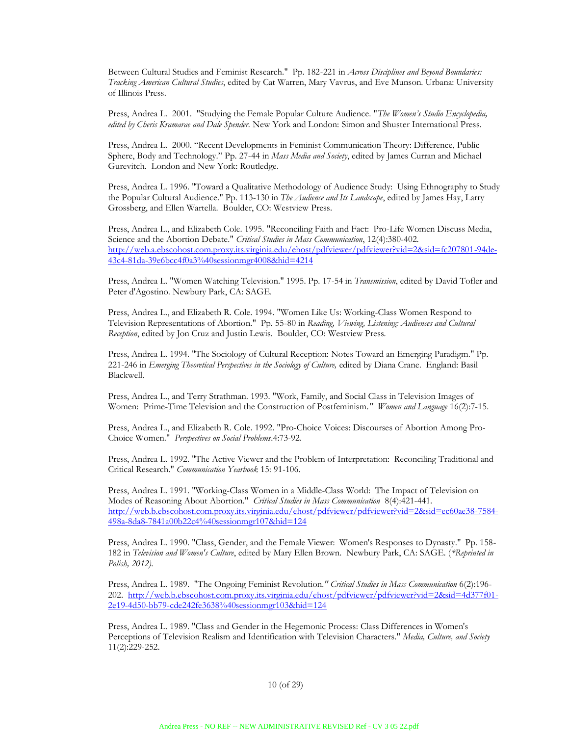Between Cultural Studies and Feminist Research." Pp. 182-221 in *Across Disciplines and Beyond Boundaries: Tracking American Cultural Studies*, edited by Cat Warren, Mary Vavrus, and Eve Munson. Urbana: University of Illinois Press.

Press, Andrea L. 2001. "Studying the Female Popular Culture Audience. "*The Women's Studio Encyclopedia, edited by Cheris Kramarae and Dale Spender.* New York and London: Simon and Shuster International Press.

Press, Andrea L. 2000. "Recent Developments in Feminist Communication Theory: Difference, Public Sphere, Body and Technology." Pp. 27-44 in *Mass Media and Society*, edited by James Curran and Michael Gurevitch. London and New York: Routledge.

Press, Andrea L. 1996. "Toward a Qualitative Methodology of Audience Study: Using Ethnography to Study the Popular Cultural Audience." Pp. 113-130 in *The Audience and Its Landscape*, edited by James Hay, Larry Grossberg, and Ellen Wartella. Boulder, CO: Westview Press.

Press, Andrea L., and Elizabeth Cole. 1995. "Reconciling Faith and Fact: Pro-Life Women Discuss Media, Science and the Abortion Debate." *Critical Studies in Mass Communication*, 12(4):380-402. http://web.a.ebscohost.com.proxy.its.virginia.edu/ehost/pdfviewer/pdfviewer?vid=2&sid=fc207801-94de-43c4-81da-39e6bcc4f0a3%40sessionmgr4008&hid=4214

Press, Andrea L. "Women Watching Television." 1995. Pp. 17-54 in *Transmission*, edited by David Tofler and Peter d'Agostino. Newbury Park, CA: SAGE.

Press, Andrea L., and Elizabeth R. Cole. 1994. "Women Like Us: Working-Class Women Respond to Television Representations of Abortion." Pp. 55-80 in *Reading, Viewing, Listening: Audiences and Cultural Reception*, edited by Jon Cruz and Justin Lewis. Boulder, CO: Westview Press.

Press, Andrea L. 1994. "The Sociology of Cultural Reception: Notes Toward an Emerging Paradigm." Pp. 221-246 in *Emerging Theoretical Perspectives in the Sociology of Culture,* edited by Diana Crane. England: Basil Blackwell.

Press, Andrea L., and Terry Strathman. 1993. "Work, Family, and Social Class in Television Images of Women: Prime-Time Television and the Construction of Postfeminism*." Women and Language* 16(2):7-15.

Press, Andrea L., and Elizabeth R. Cole. 1992. "Pro-Choice Voices: Discourses of Abortion Among Pro-Choice Women." *Perspectives on Social Problems*.4:73-92.

Press, Andrea L. 1992. "The Active Viewer and the Problem of Interpretation: Reconciling Traditional and Critical Research." *Communication Yearbook* 15: 91-106.

Press, Andrea L. 1991. "Working-Class Women in a Middle-Class World: The Impact of Television on Modes of Reasoning About Abortion." *Critical Studies in Mass Communication* 8(4):421-441. http://web.b.ebscohost.com.proxy.its.virginia.edu/ehost/pdfviewer/pdfviewer?vid=2&sid=ec60ae38-7584- 498a-8da8-7841a00b22c4%40sessionmgr107&hid=124

Press, Andrea L. 1990. "Class, Gender, and the Female Viewer: Women's Responses to Dynasty." Pp. 158- 182 in *Television and Women's Culture*, edited by Mary Ellen Brown. Newbury Park, CA: SAGE. (*\*Reprinted in Polish, 2012).*

Press, Andrea L. 1989. "The Ongoing Feminist Revolution*." Critical Studies in Mass Communication* 6(2):196- 202. http://web.b.ebscohost.com.proxy.its.virginia.edu/ehost/pdfviewer/pdfviewer?vid=2&sid=4d377f01- 2e19-4d50-bb79-cde242fe3638%40sessionmgr103&hid=124

Press, Andrea L. 1989. "Class and Gender in the Hegemonic Process: Class Differences in Women's Perceptions of Television Realism and Identification with Television Characters." *Media, Culture, and Society*  11(2):229-252.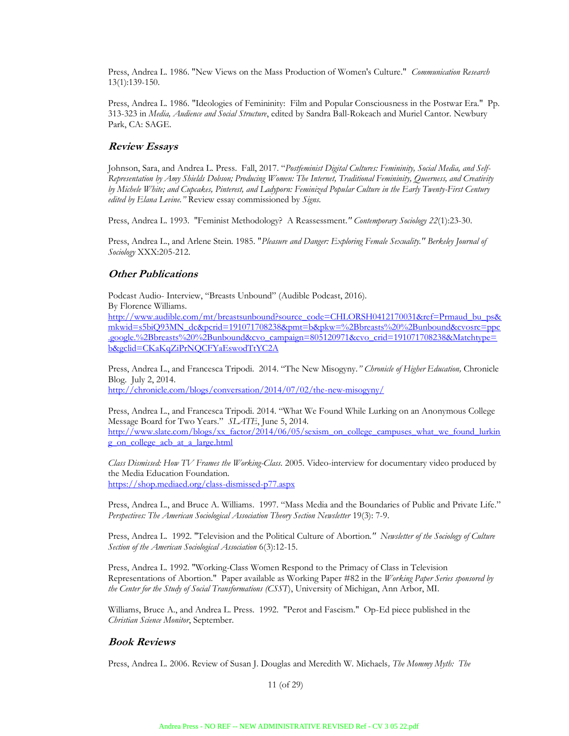Press, Andrea L. 1986. "New Views on the Mass Production of Women's Culture." *Communication Research* 13(1):139-150.

Press, Andrea L. 1986. "Ideologies of Femininity: Film and Popular Consciousness in the Postwar Era." Pp. 313-323 in *Media, Audience and Social Structure*, edited by Sandra Ball-Rokeach and Muriel Cantor. Newbury Park, CA: SAGE.

## **Review Essays**

Johnson, Sara, and Andrea L. Press. Fall, 2017. "*Postfeminist Digital Cultures: Femininity, Social Media, and Self-Representation by Amy Shields Dobson; Producing Women: The Internet, Traditional Femininity, Queerness, and Creativity by Michele White; and Cupcakes, Pinterest, and Ladyporn: Feminized Popular Culture in the Early Twenty-First Century edited by Elana Levine."* Review essay commissioned by *Signs.*

Press, Andrea L. 1993. "Feminist Methodology? A Reassessment*." Contemporary Sociology 22*(1):23-30.

Press, Andrea L., and Arlene Stein. 1985. "*Pleasure and Danger: Exploring Female Sexuality." Berkeley Journal of Sociology* XXX:205-212.

## **Other Publications**

Podcast Audio- Interview, "Breasts Unbound" (Audible Podcast, 2016). By Florence Williams.

http://www.audible.com/mt/breastsunbound?source\_code=CHLORSH0412170031&ref=Prmaud\_bu\_ps& mkwid=s5biQ93MN\_dc&pcrid=191071708238&pmt=b&pkw=%2Bbreasts%20%2Bunbound&cvosrc=ppc .google.%2Bbreasts%20%2Bunbound&cvo\_campaign=805120971&cvo\_crid=191071708238&Matchtype= b&gclid=CKaKqZiPrNQCFYaEswodTtYC2A

Press, Andrea L., and Francesca Tripodi. 2014. "The New Misogyny.*" Chronicle of Higher Education,* Chronicle Blog. July 2, 2014. http://chronicle.com/blogs/conversation/2014/07/02/the-new-misogyny/

Press, Andrea L., and Francesca Tripodi. 2014. "What We Found While Lurking on an Anonymous College Message Board for Two Years." *SLATE*, June 5, 2014. http://www.slate.com/blogs/xx\_factor/2014/06/05/sexism\_on\_college\_campuses\_what\_we\_found\_lurkin g\_on\_college\_acb\_at\_a\_large.html

*Class Dismissed: How TV Frames the Working-Class.* 2005. Video-interview for documentary video produced by the Media Education Foundation. https://shop.mediaed.org/class-dismissed-p77.aspx

Press, Andrea L., and Bruce A. Williams. 1997. "Mass Media and the Boundaries of Public and Private Life." *Perspectives: The American Sociological Association Theory Section Newsletter* 19(3): 7-9.

Press, Andrea L. 1992. "Television and the Political Culture of Abortion*." Newsletter of the Sociology of Culture Section of the American Sociological Association* 6(3):12-15.

Press, Andrea L. 1992. "Working-Class Women Respond to the Primacy of Class in Television Representations of Abortion." Paper available as Working Paper #82 in the *Working Paper Series sponsored by the Center for the Study of Social Transformations (CSST*), University of Michigan, Ann Arbor, MI.

Williams, Bruce A., and Andrea L. Press. 1992. "Perot and Fascism." Op-Ed piece published in the *Christian Science Monitor*, September.

## **Book Reviews**

Press, Andrea L. 2006. Review of Susan J. Douglas and Meredith W. Michaels*, The Mommy Myth: The*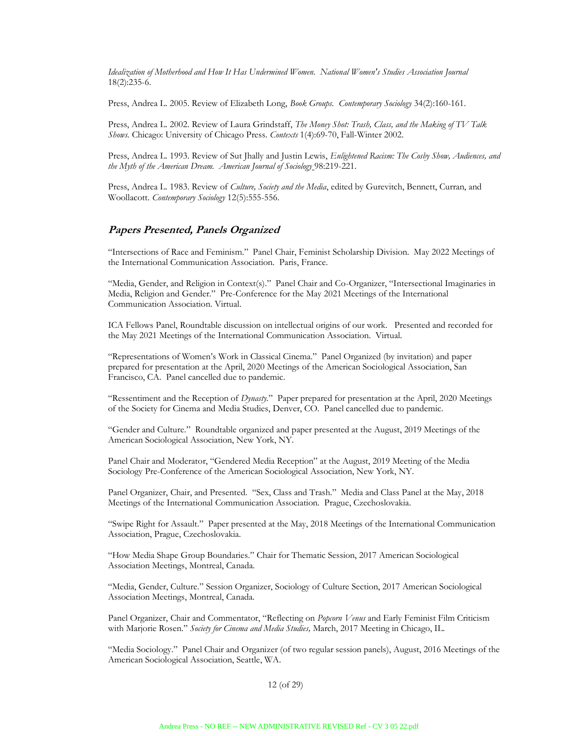*Idealization of Motherhood and How It Has Undermined Women. National Women's Studies Association Journal* 18(2):235-6.

Press, Andrea L. 2005. Review of Elizabeth Long, *Book Groups. Contemporary Sociology* 34(2):160-161.

Press, Andrea L. 2002. Review of Laura Grindstaff, *The Money Shot: Trash, Class, and the Making of TV Talk Shows.* Chicago: University of Chicago Press. *Contexts* 1(4):69-70, Fall-Winter 2002.

Press, Andrea L. 1993. Review of Sut Jhally and Justin Lewis, *Enlightened Racism: The Cosby Show, Audiences, and the Myth of the American Dream. American Journal of Sociology* 98:219-221.

Press, Andrea L. 1983. Review of *Culture, Society and the Media*, edited by Gurevitch, Bennett, Curran, and Woollacott*. Contemporary Sociology* 12(5):555-556.

## **Papers Presented, Panels Organized**

"Intersections of Race and Feminism." Panel Chair, Feminist Scholarship Division. May 2022 Meetings of the International Communication Association. Paris, France.

"Media, Gender, and Religion in Context(s)." Panel Chair and Co-Organizer, "Intersectional Imaginaries in Media, Religion and Gender." Pre-Conference for the May 2021 Meetings of the International Communication Association. Virtual.

ICA Fellows Panel, Roundtable discussion on intellectual origins of our work. Presented and recorded for the May 2021 Meetings of the International Communication Association. Virtual.

"Representations of Women's Work in Classical Cinema." Panel Organized (by invitation) and paper prepared for presentation at the April, 2020 Meetings of the American Sociological Association, San Francisco, CA. Panel cancelled due to pandemic.

"Ressentiment and the Reception of *Dynasty.*" Paper prepared for presentation at the April, 2020 Meetings of the Society for Cinema and Media Studies, Denver, CO. Panel cancelled due to pandemic.

"Gender and Culture." Roundtable organized and paper presented at the August, 2019 Meetings of the American Sociological Association, New York, NY.

Panel Chair and Moderator, "Gendered Media Reception" at the August, 2019 Meeting of the Media Sociology Pre-Conference of the American Sociological Association, New York, NY.

Panel Organizer, Chair, and Presented. "Sex, Class and Trash." Media and Class Panel at the May, 2018 Meetings of the International Communication Association. Prague, Czechoslovakia.

"Swipe Right for Assault." Paper presented at the May, 2018 Meetings of the International Communication Association, Prague, Czechoslovakia.

"How Media Shape Group Boundaries." Chair for Thematic Session, 2017 American Sociological Association Meetings, Montreal, Canada.

"Media, Gender, Culture." Session Organizer, Sociology of Culture Section, 2017 American Sociological Association Meetings, Montreal, Canada.

Panel Organizer, Chair and Commentator, "Reflecting on *Popcorn Venus* and Early Feminist Film Criticism with Marjorie Rosen." *Society for Cinema and Media Studies,* March, 2017 Meeting in Chicago, IL.

"Media Sociology." Panel Chair and Organizer (of two regular session panels), August, 2016 Meetings of the American Sociological Association, Seattle, WA.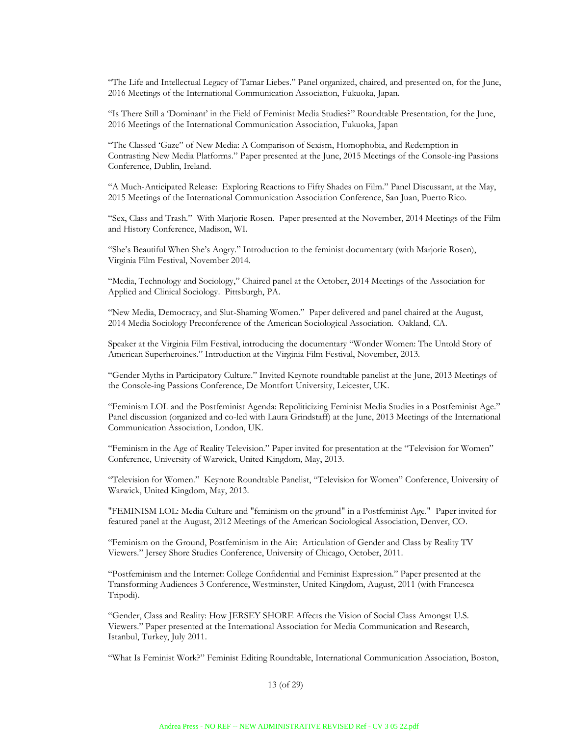"The Life and Intellectual Legacy of Tamar Liebes." Panel organized, chaired, and presented on, for the June, 2016 Meetings of the International Communication Association, Fukuoka, Japan.

"Is There Still a 'Dominant' in the Field of Feminist Media Studies?" Roundtable Presentation, for the June, 2016 Meetings of the International Communication Association, Fukuoka, Japan

"The Classed 'Gaze" of New Media: A Comparison of Sexism, Homophobia, and Redemption in Contrasting New Media Platforms." Paper presented at the June, 2015 Meetings of the Console-ing Passions Conference, Dublin, Ireland.

"A Much-Anticipated Release: Exploring Reactions to Fifty Shades on Film." Panel Discussant, at the May, 2015 Meetings of the International Communication Association Conference, San Juan, Puerto Rico.

"Sex, Class and Trash." With Marjorie Rosen. Paper presented at the November, 2014 Meetings of the Film and History Conference, Madison, WI.

"She's Beautiful When She's Angry." Introduction to the feminist documentary (with Marjorie Rosen), Virginia Film Festival, November 2014.

"Media, Technology and Sociology," Chaired panel at the October, 2014 Meetings of the Association for Applied and Clinical Sociology. Pittsburgh, PA.

"New Media, Democracy, and Slut-Shaming Women." Paper delivered and panel chaired at the August, 2014 Media Sociology Preconference of the American Sociological Association. Oakland, CA.

Speaker at the Virginia Film Festival, introducing the documentary "Wonder Women: The Untold Story of American Superheroines." Introduction at the Virginia Film Festival, November, 2013.

"Gender Myths in Participatory Culture." Invited Keynote roundtable panelist at the June, 2013 Meetings of the Console-ing Passions Conference, De Montfort University, Leicester, UK.

"Feminism LOL and the Postfeminist Agenda: Repoliticizing Feminist Media Studies in a Postfeminist Age." Panel discussion (organized and co-led with Laura Grindstaff) at the June, 2013 Meetings of the International Communication Association, London, UK.

"Feminism in the Age of Reality Television." Paper invited for presentation at the "Television for Women" Conference, University of Warwick, United Kingdom, May, 2013.

"Television for Women." Keynote Roundtable Panelist, "Television for Women" Conference, University of Warwick, United Kingdom, May, 2013.

"FEMINISM LOL: Media Culture and "feminism on the ground" in a Postfeminist Age." Paper invited for featured panel at the August, 2012 Meetings of the American Sociological Association, Denver, CO.

"Feminism on the Ground, Postfeminism in the Air: Articulation of Gender and Class by Reality TV Viewers." Jersey Shore Studies Conference, University of Chicago, October, 2011.

"Postfeminism and the Internet: College Confidential and Feminist Expression." Paper presented at the Transforming Audiences 3 Conference, Westminster, United Kingdom, August, 2011 (with Francesca Tripodi).

"Gender, Class and Reality: How JERSEY SHORE Affects the Vision of Social Class Amongst U.S. Viewers." Paper presented at the International Association for Media Communication and Research, Istanbul, Turkey, July 2011.

"What Is Feminist Work?" Feminist Editing Roundtable, International Communication Association, Boston,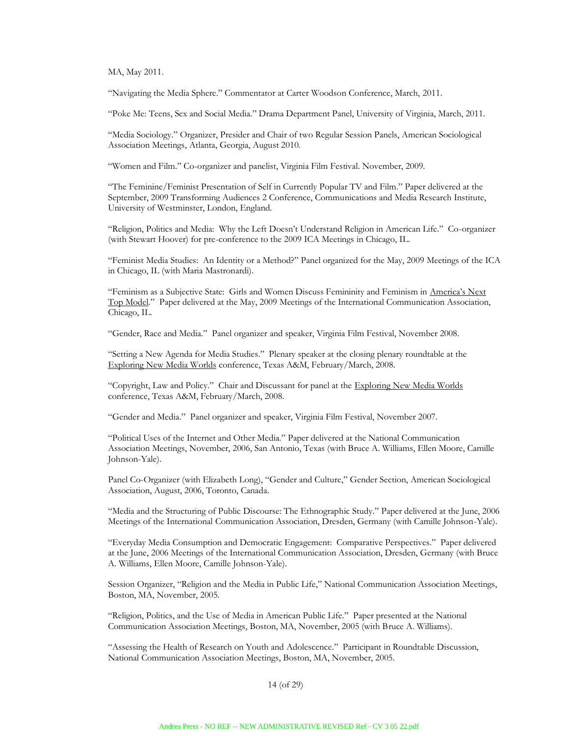MA, May 2011.

"Navigating the Media Sphere." Commentator at Carter Woodson Conference, March, 2011.

"Poke Me: Teens, Sex and Social Media." Drama Department Panel, University of Virginia, March, 2011.

"Media Sociology." Organizer, Presider and Chair of two Regular Session Panels, American Sociological Association Meetings, Atlanta, Georgia, August 2010.

"Women and Film." Co-organizer and panelist, Virginia Film Festival. November, 2009.

"The Feminine/Feminist Presentation of Self in Currently Popular TV and Film." Paper delivered at the September, 2009 Transforming Audiences 2 Conference, Communications and Media Research Institute, University of Westminster, London, England.

"Religion, Politics and Media: Why the Left Doesn't Understand Religion in American Life." Co-organizer (with Stewart Hoover) for pre-conference to the 2009 ICA Meetings in Chicago, IL.

"Feminist Media Studies: An Identity or a Method?" Panel organized for the May, 2009 Meetings of the ICA in Chicago, IL (with Maria Mastronardi).

"Feminism as a Subjective State: Girls and Women Discuss Femininity and Feminism in America's Next Top Model." Paper delivered at the May, 2009 Meetings of the International Communication Association, Chicago, IL.

"Gender, Race and Media." Panel organizer and speaker, Virginia Film Festival, November 2008.

"Setting a New Agenda for Media Studies." Plenary speaker at the closing plenary roundtable at the Exploring New Media Worlds conference, Texas A&M, February/March, 2008.

"Copyright, Law and Policy." Chair and Discussant for panel at the Exploring New Media Worlds conference, Texas A&M, February/March, 2008.

"Gender and Media." Panel organizer and speaker, Virginia Film Festival, November 2007.

"Political Uses of the Internet and Other Media." Paper delivered at the National Communication Association Meetings, November, 2006, San Antonio, Texas (with Bruce A. Williams, Ellen Moore, Camille Johnson-Yale).

Panel Co-Organizer (with Elizabeth Long), "Gender and Culture," Gender Section, American Sociological Association, August, 2006, Toronto, Canada.

"Media and the Structuring of Public Discourse: The Ethnographic Study." Paper delivered at the June, 2006 Meetings of the International Communication Association, Dresden, Germany (with Camille Johnson-Yale).

"Everyday Media Consumption and Democratic Engagement: Comparative Perspectives." Paper delivered at the June, 2006 Meetings of the International Communication Association, Dresden, Germany (with Bruce A. Williams, Ellen Moore, Camille Johnson-Yale).

Session Organizer, "Religion and the Media in Public Life," National Communication Association Meetings, Boston, MA, November, 2005.

"Religion, Politics, and the Use of Media in American Public Life." Paper presented at the National Communication Association Meetings, Boston, MA, November, 2005 (with Bruce A. Williams).

"Assessing the Health of Research on Youth and Adolescence." Participant in Roundtable Discussion, National Communication Association Meetings, Boston, MA, November, 2005.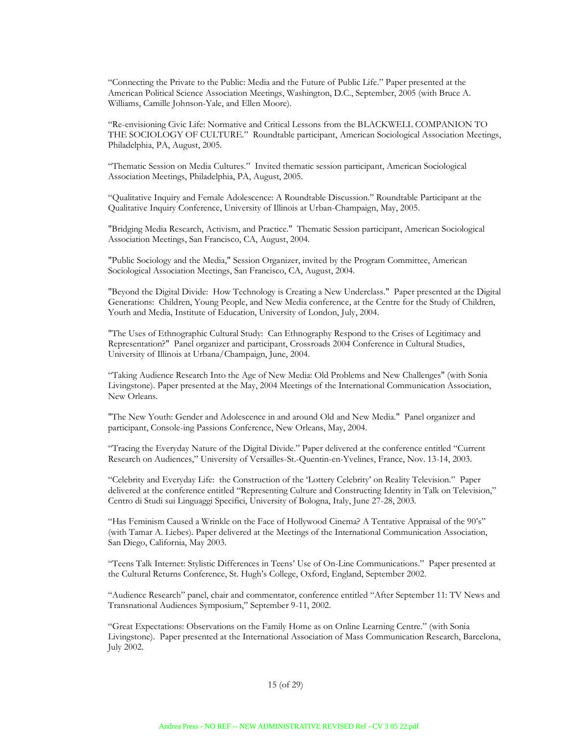"Connecting the Private to the Public: Media and the Future of Public Life." Paper presented at the American Political Science Association Meetings, Washington, D.C., September, 2005 (with Bruce A. Williams, Camille Johnson-Yale, and Ellen Moore).

"Re-envisioning Civic Life: Normative and Critical Lessons from the BLACKWELL COMPANION TO THE SOCIOLOGY OF CULTURE." Roundtable participant, American Sociological Association Meetings, Philadelphia, PA, August, 2005.

"Thematic Session on Media Cultures." Invited thematic session participant, American Sociological Association Meetings, Philadelphia, PA, August, 2005.

"Qualitative Inquiry and Female Adolescence: A Roundtable Discussion." Roundtable Participant at the Qualitative Inquiry Conference, University of Illinois at Urban-Champaign, May, 2005.

"Bridging Media Research, Activism, and Practice." Thematic Session participant, American Sociological Association Meetings, San Francisco, CA, August, 2004.

"Public Sociology and the Media," Session Organizer, invited by the Program Committee, American Sociological Association Meetings, San Francisco, CA, August, 2004.

"Beyond the Digital Divide: How Technology is Creating a New Underclass." Paper presented at the Digital Generations: Children, Young People, and New Media conference, at the Centre for the Study of Children, Youth and Media, Institute of Education, University of London, July, 2004.

"The Uses of Ethnographic Cultural Study: Can Ethnography Respond to the Crises of Legitimacy and Representation?" Panel organizer and participant, Crossroads 2004 Conference in Cultural Studies, University of Illinois at Urbana/Champaign, June, 2004.

"Taking Audience Research Into the Age of New Media: Old Problems and New Challenges" (with Sonia Livingstone). Paper presented at the May, 2004 Meetings of the International Communication Association, New Orleans.

"The New Youth: Gender and Adolescence in and around Old and New Media." Panel organizer and participant, Console-ing Passions Conference, New Orleans, May, 2004.

"Tracing the Everyday Nature of the Digital Divide." Paper delivered at the conference entitled "Current Research on Audiences," University of Versailles-St.-Quentin-en-Yvelines, France, Nov. 13-14, 2003.

"Celebrity and Everyday Life: the Construction of the 'Lottery Celebrity' on Reality Television." Paper delivered at the conference entitled "Representing Culture and Constructing Identity in Talk on Television," Centro di Studi sui Linguaggi Specifici, University of Bologna, Italy, June 27-28, 2003.

"Has Feminism Caused a Wrinkle on the Face of Hollywood Cinema? A Tentative Appraisal of the 90's" (with Tamar A. Liebes). Paper delivered at the Meetings of the International Communication Association, San Diego, California, May 2003.

"Teens Talk Internet: Stylistic Differences in Teens' Use of On-Line Communications." Paper presented at the Cultural Returns Conference, St. Hugh's College, Oxford, England, September 2002.

"Audience Research" panel, chair and commentator, conference entitled "After September 11: TV News and Transnational Audiences Symposium," September 9-11, 2002.

"Great Expectations: Observations on the Family Home as on Online Learning Centre." (with Sonia Livingstone). Paper presented at the International Association of Mass Communication Research, Barcelona, July 2002.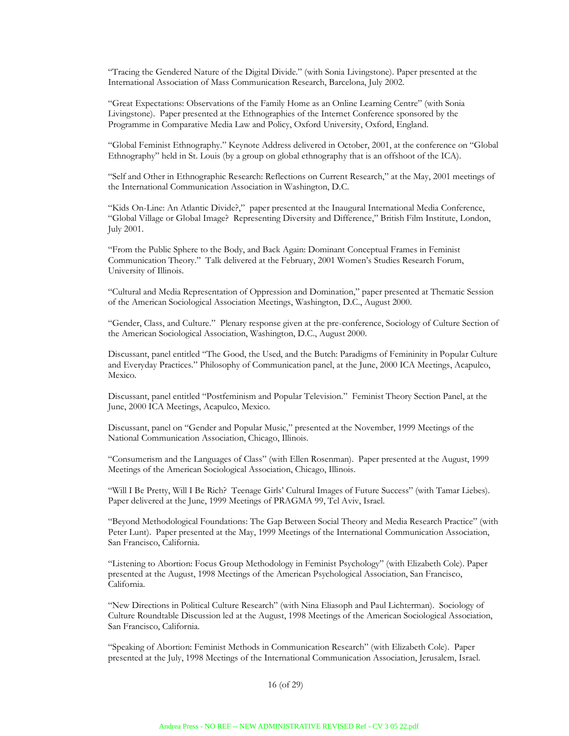"Tracing the Gendered Nature of the Digital Divide." (with Sonia Livingstone). Paper presented at the International Association of Mass Communication Research, Barcelona, July 2002.

"Great Expectations: Observations of the Family Home as an Online Learning Centre" (with Sonia Livingstone). Paper presented at the Ethnographies of the Internet Conference sponsored by the Programme in Comparative Media Law and Policy, Oxford University, Oxford, England.

"Global Feminist Ethnography." Keynote Address delivered in October, 2001, at the conference on "Global Ethnography" held in St. Louis (by a group on global ethnography that is an offshoot of the ICA).

"Self and Other in Ethnographic Research: Reflections on Current Research," at the May, 2001 meetings of the International Communication Association in Washington, D.C.

"Kids On-Line: An Atlantic Divide?," paper presented at the Inaugural International Media Conference, "Global Village or Global Image? Representing Diversity and Difference," British Film Institute, London, July 2001.

"From the Public Sphere to the Body, and Back Again: Dominant Conceptual Frames in Feminist Communication Theory." Talk delivered at the February, 2001 Women's Studies Research Forum, University of Illinois.

"Cultural and Media Representation of Oppression and Domination," paper presented at Thematic Session of the American Sociological Association Meetings, Washington, D.C., August 2000.

"Gender, Class, and Culture." Plenary response given at the pre-conference, Sociology of Culture Section of the American Sociological Association, Washington, D.C., August 2000.

Discussant, panel entitled "The Good, the Used, and the Butch: Paradigms of Femininity in Popular Culture and Everyday Practices." Philosophy of Communication panel, at the June, 2000 ICA Meetings, Acapulco, Mexico.

Discussant, panel entitled "Postfeminism and Popular Television." Feminist Theory Section Panel, at the June, 2000 ICA Meetings, Acapulco, Mexico.

Discussant, panel on "Gender and Popular Music," presented at the November, 1999 Meetings of the National Communication Association, Chicago, Illinois.

"Consumerism and the Languages of Class" (with Ellen Rosenman). Paper presented at the August, 1999 Meetings of the American Sociological Association, Chicago, Illinois.

"Will I Be Pretty, Will I Be Rich? Teenage Girls' Cultural Images of Future Success" (with Tamar Liebes). Paper delivered at the June, 1999 Meetings of PRAGMA 99, Tel Aviv, Israel.

"Beyond Methodological Foundations: The Gap Between Social Theory and Media Research Practice" (with Peter Lunt). Paper presented at the May, 1999 Meetings of the International Communication Association, San Francisco, California.

"Listening to Abortion: Focus Group Methodology in Feminist Psychology" (with Elizabeth Cole). Paper presented at the August, 1998 Meetings of the American Psychological Association, San Francisco, California.

"New Directions in Political Culture Research" (with Nina Eliasoph and Paul Lichterman). Sociology of Culture Roundtable Discussion led at the August, 1998 Meetings of the American Sociological Association, San Francisco, California.

"Speaking of Abortion: Feminist Methods in Communication Research" (with Elizabeth Cole). Paper presented at the July, 1998 Meetings of the International Communication Association, Jerusalem, Israel.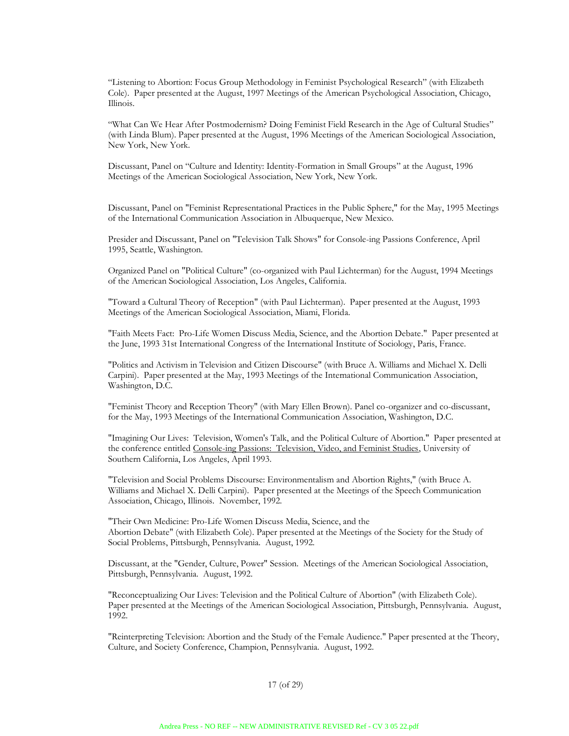"Listening to Abortion: Focus Group Methodology in Feminist Psychological Research" (with Elizabeth Cole). Paper presented at the August, 1997 Meetings of the American Psychological Association, Chicago, Illinois.

"What Can We Hear After Postmodernism? Doing Feminist Field Research in the Age of Cultural Studies" (with Linda Blum). Paper presented at the August, 1996 Meetings of the American Sociological Association, New York, New York.

Discussant, Panel on "Culture and Identity: Identity-Formation in Small Groups" at the August, 1996 Meetings of the American Sociological Association, New York, New York.

Discussant, Panel on "Feminist Representational Practices in the Public Sphere," for the May, 1995 Meetings of the International Communication Association in Albuquerque, New Mexico.

Presider and Discussant, Panel on "Television Talk Shows" for Console-ing Passions Conference, April 1995, Seattle, Washington.

Organized Panel on "Political Culture" (co-organized with Paul Lichterman) for the August, 1994 Meetings of the American Sociological Association, Los Angeles, California.

"Toward a Cultural Theory of Reception" (with Paul Lichterman). Paper presented at the August, 1993 Meetings of the American Sociological Association, Miami, Florida.

"Faith Meets Fact: Pro-Life Women Discuss Media, Science, and the Abortion Debate." Paper presented at the June, 1993 31st International Congress of the International Institute of Sociology, Paris, France.

"Politics and Activism in Television and Citizen Discourse" (with Bruce A. Williams and Michael X. Delli Carpini). Paper presented at the May, 1993 Meetings of the International Communication Association, Washington, D.C.

"Feminist Theory and Reception Theory" (with Mary Ellen Brown). Panel co-organizer and co-discussant, for the May, 1993 Meetings of the International Communication Association, Washington, D.C.

"Imagining Our Lives: Television, Women's Talk, and the Political Culture of Abortion." Paper presented at the conference entitled Console-ing Passions: Television, Video, and Feminist Studies, University of Southern California, Los Angeles, April 1993.

"Television and Social Problems Discourse: Environmentalism and Abortion Rights," (with Bruce A. Williams and Michael X. Delli Carpini). Paper presented at the Meetings of the Speech Communication Association, Chicago, Illinois. November, 1992.

"Their Own Medicine: Pro-Life Women Discuss Media, Science, and the Abortion Debate" (with Elizabeth Cole). Paper presented at the Meetings of the Society for the Study of Social Problems, Pittsburgh, Pennsylvania. August, 1992.

Discussant, at the "Gender, Culture, Power" Session. Meetings of the American Sociological Association, Pittsburgh, Pennsylvania. August, 1992.

"Reconceptualizing Our Lives: Television and the Political Culture of Abortion" (with Elizabeth Cole). Paper presented at the Meetings of the American Sociological Association, Pittsburgh, Pennsylvania. August, 1992.

"Reinterpreting Television: Abortion and the Study of the Female Audience." Paper presented at the Theory, Culture, and Society Conference, Champion, Pennsylvania. August, 1992.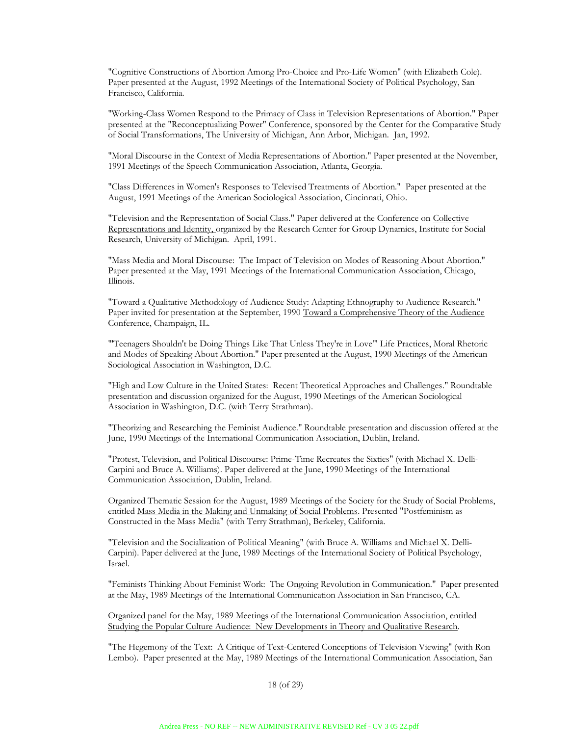"Cognitive Constructions of Abortion Among Pro-Choice and Pro-Life Women" (with Elizabeth Cole). Paper presented at the August, 1992 Meetings of the International Society of Political Psychology, San Francisco, California.

"Working-Class Women Respond to the Primacy of Class in Television Representations of Abortion." Paper presented at the "Reconceptualizing Power" Conference, sponsored by the Center for the Comparative Study of Social Transformations, The University of Michigan, Ann Arbor, Michigan. Jan, 1992.

"Moral Discourse in the Context of Media Representations of Abortion." Paper presented at the November, 1991 Meetings of the Speech Communication Association, Atlanta, Georgia.

"Class Differences in Women's Responses to Televised Treatments of Abortion." Paper presented at the August, 1991 Meetings of the American Sociological Association, Cincinnati, Ohio.

"Television and the Representation of Social Class." Paper delivered at the Conference on Collective Representations and Identity, organized by the Research Center for Group Dynamics, Institute for Social Research, University of Michigan. April, 1991.

"Mass Media and Moral Discourse: The Impact of Television on Modes of Reasoning About Abortion." Paper presented at the May, 1991 Meetings of the International Communication Association, Chicago, Illinois.

"Toward a Qualitative Methodology of Audience Study: Adapting Ethnography to Audience Research." Paper invited for presentation at the September, 1990 Toward a Comprehensive Theory of the Audience Conference, Champaign, IL.

"'Teenagers Shouldn't be Doing Things Like That Unless They're in Love'" Life Practices, Moral Rhetoric and Modes of Speaking About Abortion." Paper presented at the August, 1990 Meetings of the American Sociological Association in Washington, D.C.

"High and Low Culture in the United States: Recent Theoretical Approaches and Challenges." Roundtable presentation and discussion organized for the August, 1990 Meetings of the American Sociological Association in Washington, D.C. (with Terry Strathman).

"Theorizing and Researching the Feminist Audience." Roundtable presentation and discussion offered at the June, 1990 Meetings of the International Communication Association, Dublin, Ireland.

"Protest, Television, and Political Discourse: Prime-Time Recreates the Sixties" (with Michael X. Delli-Carpini and Bruce A. Williams). Paper delivered at the June, 1990 Meetings of the International Communication Association, Dublin, Ireland.

Organized Thematic Session for the August, 1989 Meetings of the Society for the Study of Social Problems, entitled Mass Media in the Making and Unmaking of Social Problems. Presented "Postfeminism as Constructed in the Mass Media" (with Terry Strathman), Berkeley, California.

"Television and the Socialization of Political Meaning" (with Bruce A. Williams and Michael X. Delli-Carpini). Paper delivered at the June, 1989 Meetings of the International Society of Political Psychology, Israel.

"Feminists Thinking About Feminist Work: The Ongoing Revolution in Communication." Paper presented at the May, 1989 Meetings of the International Communication Association in San Francisco, CA.

Organized panel for the May, 1989 Meetings of the International Communication Association, entitled Studying the Popular Culture Audience: New Developments in Theory and Qualitative Research.

"The Hegemony of the Text: A Critique of Text-Centered Conceptions of Television Viewing" (with Ron Lembo). Paper presented at the May, 1989 Meetings of the International Communication Association, San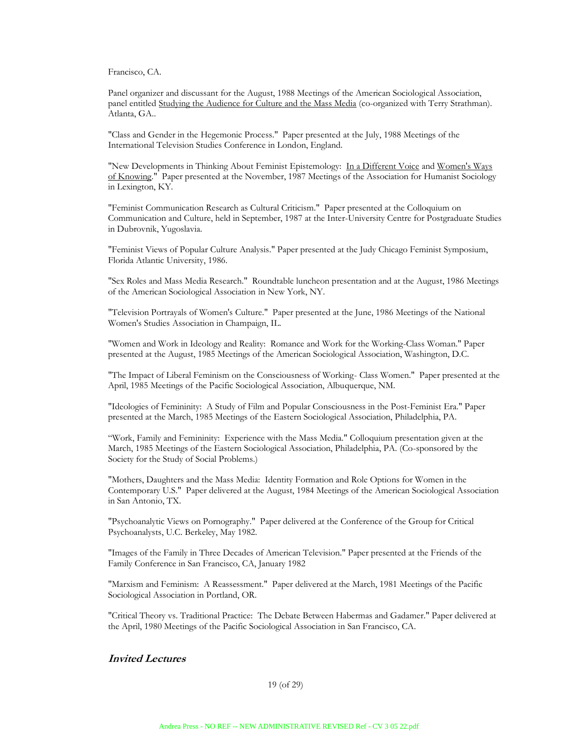Francisco, CA.

Panel organizer and discussant for the August, 1988 Meetings of the American Sociological Association, panel entitled Studying the Audience for Culture and the Mass Media (co-organized with Terry Strathman). Atlanta, GA..

"Class and Gender in the Hegemonic Process." Paper presented at the July, 1988 Meetings of the International Television Studies Conference in London, England.

"New Developments in Thinking About Feminist Epistemology: In a Different Voice and Women's Ways of Knowing." Paper presented at the November, 1987 Meetings of the Association for Humanist Sociology in Lexington, KY.

"Feminist Communication Research as Cultural Criticism." Paper presented at the Colloquium on Communication and Culture, held in September, 1987 at the Inter-University Centre for Postgraduate Studies in Dubrovnik, Yugoslavia.

"Feminist Views of Popular Culture Analysis." Paper presented at the Judy Chicago Feminist Symposium, Florida Atlantic University, 1986.

"Sex Roles and Mass Media Research." Roundtable luncheon presentation and at the August, 1986 Meetings of the American Sociological Association in New York, NY.

"Television Portrayals of Women's Culture." Paper presented at the June, 1986 Meetings of the National Women's Studies Association in Champaign, IL.

"Women and Work in Ideology and Reality: Romance and Work for the Working-Class Woman." Paper presented at the August, 1985 Meetings of the American Sociological Association, Washington, D.C.

"The Impact of Liberal Feminism on the Consciousness of Working- Class Women." Paper presented at the April, 1985 Meetings of the Pacific Sociological Association, Albuquerque, NM.

"Ideologies of Femininity: A Study of Film and Popular Consciousness in the Post-Feminist Era." Paper presented at the March, 1985 Meetings of the Eastern Sociological Association, Philadelphia, PA.

"Work, Family and Femininity: Experience with the Mass Media." Colloquium presentation given at the March, 1985 Meetings of the Eastern Sociological Association, Philadelphia, PA. (Co-sponsored by the Society for the Study of Social Problems.)

"Mothers, Daughters and the Mass Media: Identity Formation and Role Options for Women in the Contemporary U.S." Paper delivered at the August, 1984 Meetings of the American Sociological Association in San Antonio, TX.

"Psychoanalytic Views on Pornography." Paper delivered at the Conference of the Group for Critical Psychoanalysts, U.C. Berkeley, May 1982.

"Images of the Family in Three Decades of American Television." Paper presented at the Friends of the Family Conference in San Francisco, CA, January 1982

"Marxism and Feminism: A Reassessment." Paper delivered at the March, 1981 Meetings of the Pacific Sociological Association in Portland, OR.

"Critical Theory vs. Traditional Practice: The Debate Between Habermas and Gadamer." Paper delivered at the April, 1980 Meetings of the Pacific Sociological Association in San Francisco, CA.

# **Invited Lectures**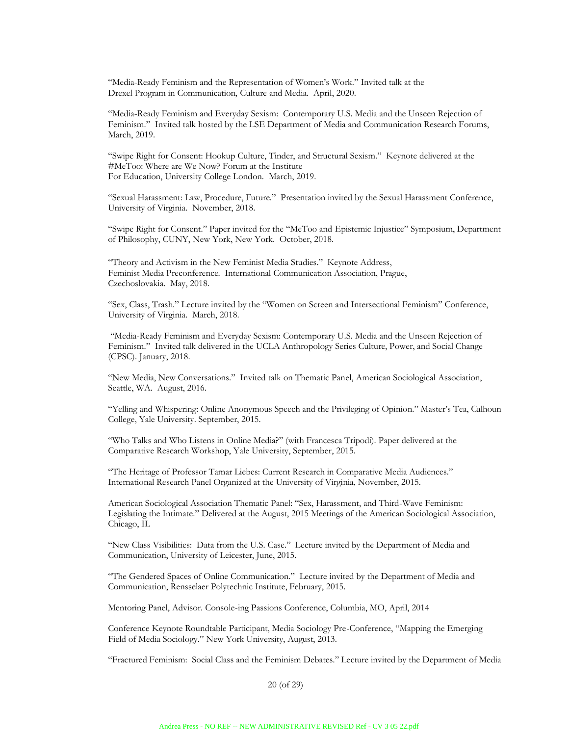"Media-Ready Feminism and the Representation of Women's Work." Invited talk at the Drexel Program in Communication, Culture and Media. April, 2020.

"Media-Ready Feminism and Everyday Sexism: Contemporary U.S. Media and the Unseen Rejection of Feminism." Invited talk hosted by the LSE Department of Media and Communication Research Forums, March, 2019.

"Swipe Right for Consent: Hookup Culture, Tinder, and Structural Sexism." Keynote delivered at the #MeToo: Where are We Now? Forum at the Institute For Education, University College London. March, 2019.

"Sexual Harassment: Law, Procedure, Future." Presentation invited by the Sexual Harassment Conference, University of Virginia. November, 2018.

"Swipe Right for Consent." Paper invited for the "MeToo and Epistemic Injustice" Symposium, Department of Philosophy, CUNY, New York, New York. October, 2018.

"Theory and Activism in the New Feminist Media Studies." Keynote Address, Feminist Media Preconference. International Communication Association, Prague, Czechoslovakia. May, 2018.

"Sex, Class, Trash." Lecture invited by the "Women on Screen and Intersectional Feminism" Conference, University of Virginia. March, 2018.

"Media-Ready Feminism and Everyday Sexism: Contemporary U.S. Media and the Unseen Rejection of Feminism." Invited talk delivered in the UCLA Anthropology Series Culture, Power, and Social Change (CPSC). January, 2018.

"New Media, New Conversations." Invited talk on Thematic Panel, American Sociological Association, Seattle, WA. August, 2016.

"Yelling and Whispering: Online Anonymous Speech and the Privileging of Opinion." Master's Tea, Calhoun College, Yale University. September, 2015.

"Who Talks and Who Listens in Online Media?" (with Francesca Tripodi). Paper delivered at the Comparative Research Workshop, Yale University, September, 2015.

"The Heritage of Professor Tamar Liebes: Current Research in Comparative Media Audiences." International Research Panel Organized at the University of Virginia, November, 2015.

American Sociological Association Thematic Panel: "Sex, Harassment, and Third-Wave Feminism: Legislating the Intimate." Delivered at the August, 2015 Meetings of the American Sociological Association, Chicago, IL

"New Class Visibilities: Data from the U.S. Case." Lecture invited by the Department of Media and Communication, University of Leicester, June, 2015.

"The Gendered Spaces of Online Communication." Lecture invited by the Department of Media and Communication, Rensselaer Polytechnic Institute, February, 2015.

Mentoring Panel, Advisor. Console-ing Passions Conference, Columbia, MO, April, 2014

Conference Keynote Roundtable Participant, Media Sociology Pre-Conference, "Mapping the Emerging Field of Media Sociology." New York University, August, 2013.

"Fractured Feminism: Social Class and the Feminism Debates." Lecture invited by the Department of Media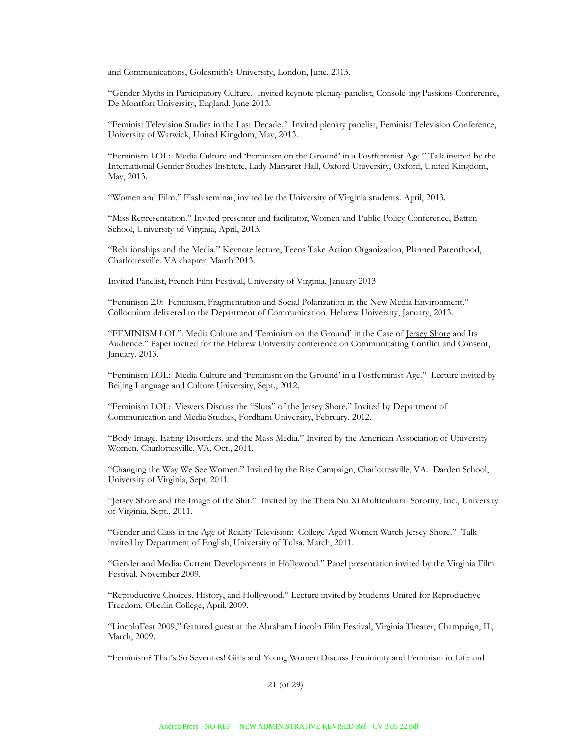and Communications, Goldsmith's University, London, June, 2013.

"Gender Myths in Participatory Culture. Invited keynote plenary panelist, Console-ing Passions Conference, De Montfort University, England, June 2013.

"Feminist Television Studies in the Last Decade." Invited plenary panelist, Feminist Television Conference, University of Warwick, United Kingdom, May, 2013.

"Feminism LOL: Media Culture and 'Feminism on the Ground' in a Postfeminist Age." Talk invited by the International Gender Studies Institute, Lady Margaret Hall, Oxford University, Oxford, United Kingdom, May, 2013.

"Women and Film." Flash seminar, invited by the University of Virginia students. April, 2013.

"Miss Representation." Invited presenter and facilitator, Women and Public Policy Conference, Batten School, University of Virginia, April, 2013.

"Relationships and the Media." Keynote lecture, Teens Take Action Organization, Planned Parenthood, Charlottesville, VA chapter, March 2013.

Invited Panelist, French Film Festival, University of Virginia, January 2013

"Feminism 2.0: Feminism, Fragmentation and Social Polarization in the New Media Environment." Colloquium delivered to the Department of Communication, Hebrew University, January, 2013.

"FEMINISM LOL": Media Culture and 'Feminism on the Ground' in the Case of Jersey Shore and Its Audience." Paper invited for the Hebrew University conference on Communicating Conflict and Consent, January, 2013.

"Feminism LOL: Media Culture and 'Feminism on the Ground' in a Postfeminist Age." Lecture invited by Beijing Language and Culture University, Sept., 2012.

"Feminism LOL: Viewers Discuss the "Sluts" of the Jersey Shore." Invited by Department of Communication and Media Studies, Fordham University, February, 2012.

"Body Image, Eating Disorders, and the Mass Media." Invited by the American Association of University Women, Charlottesville, VA, Oct., 2011.

"Changing the Way We See Women." Invited by the Rise Campaign, Charlottesville, VA. Darden School, University of Virginia, Sept, 2011.

"Jersey Shore and the Image of the Slut." Invited by the Theta Nu Xi Multicultural Sorority, Inc., University of Virginia, Sept., 2011.

"Gender and Class in the Age of Reality Television: College-Aged Women Watch Jersey Shore." Talk invited by Department of English, University of Tulsa. March, 2011.

"Gender and Media: Current Developments in Hollywood." Panel presentation invited by the Virginia Film Festival, November 2009.

"Reproductive Choices, History, and Hollywood." Lecture invited by Students United for Reproductive Freedom, Oberlin College, April, 2009.

"LincolnFest 2009," featured guest at the Abraham Lincoln Film Festival, Virginia Theater, Champaign, IL, March, 2009.

"Feminism? That's So Seventies! Girls and Young Women Discuss Femininity and Feminism in Life and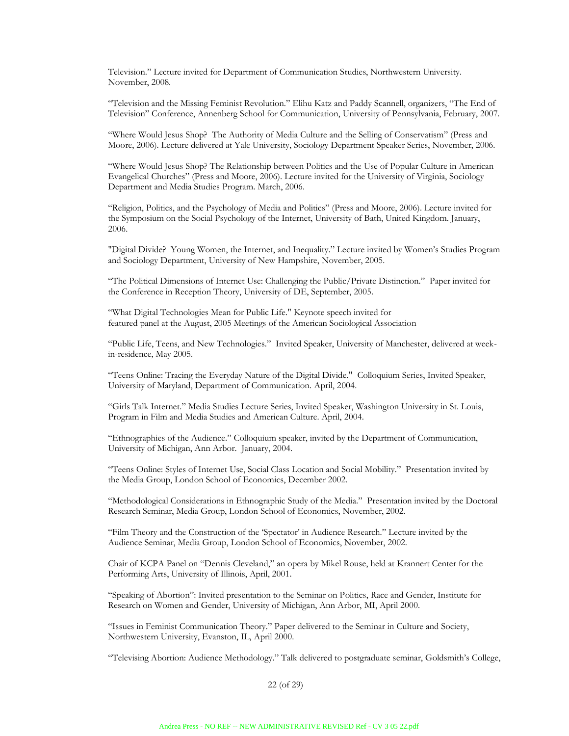Television." Lecture invited for Department of Communication Studies, Northwestern University. November, 2008.

"Television and the Missing Feminist Revolution." Elihu Katz and Paddy Scannell, organizers, "The End of Television" Conference, Annenberg School for Communication, University of Pennsylvania, February, 2007.

"Where Would Jesus Shop? The Authority of Media Culture and the Selling of Conservatism" (Press and Moore, 2006). Lecture delivered at Yale University, Sociology Department Speaker Series, November, 2006.

"Where Would Jesus Shop? The Relationship between Politics and the Use of Popular Culture in American Evangelical Churches" (Press and Moore, 2006). Lecture invited for the University of Virginia, Sociology Department and Media Studies Program. March, 2006.

"Religion, Politics, and the Psychology of Media and Politics" (Press and Moore, 2006). Lecture invited for the Symposium on the Social Psychology of the Internet, University of Bath, United Kingdom. January, 2006.

"Digital Divide? Young Women, the Internet, and Inequality." Lecture invited by Women's Studies Program and Sociology Department, University of New Hampshire, November, 2005.

"The Political Dimensions of Internet Use: Challenging the Public/Private Distinction." Paper invited for the Conference in Reception Theory, University of DE, September, 2005.

"What Digital Technologies Mean for Public Life." Keynote speech invited for featured panel at the August, 2005 Meetings of the American Sociological Association

"Public Life, Teens, and New Technologies." Invited Speaker, University of Manchester, delivered at weekin-residence, May 2005.

"Teens Online: Tracing the Everyday Nature of the Digital Divide." Colloquium Series, Invited Speaker, University of Maryland, Department of Communication. April, 2004.

"Girls Talk Internet." Media Studies Lecture Series, Invited Speaker, Washington University in St. Louis, Program in Film and Media Studies and American Culture. April, 2004.

"Ethnographies of the Audience." Colloquium speaker, invited by the Department of Communication, University of Michigan, Ann Arbor. January, 2004.

"Teens Online: Styles of Internet Use, Social Class Location and Social Mobility." Presentation invited by the Media Group, London School of Economics, December 2002.

"Methodological Considerations in Ethnographic Study of the Media." Presentation invited by the Doctoral Research Seminar, Media Group, London School of Economics, November, 2002.

"Film Theory and the Construction of the 'Spectator' in Audience Research." Lecture invited by the Audience Seminar, Media Group, London School of Economics, November, 2002.

Chair of KCPA Panel on "Dennis Cleveland," an opera by Mikel Rouse, held at Krannert Center for the Performing Arts, University of Illinois, April, 2001.

"Speaking of Abortion": Invited presentation to the Seminar on Politics, Race and Gender, Institute for Research on Women and Gender, University of Michigan, Ann Arbor, MI, April 2000.

"Issues in Feminist Communication Theory." Paper delivered to the Seminar in Culture and Society, Northwestern University, Evanston, IL, April 2000.

"Televising Abortion: Audience Methodology." Talk delivered to postgraduate seminar, Goldsmith's College,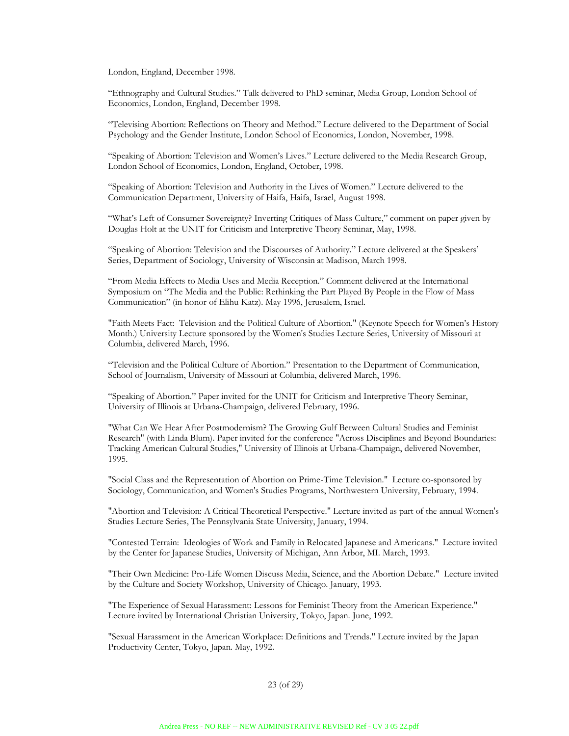London, England, December 1998.

"Ethnography and Cultural Studies." Talk delivered to PhD seminar, Media Group, London School of Economics, London, England, December 1998.

"Televising Abortion: Reflections on Theory and Method." Lecture delivered to the Department of Social Psychology and the Gender Institute, London School of Economics, London, November, 1998.

"Speaking of Abortion: Television and Women's Lives." Lecture delivered to the Media Research Group, London School of Economics, London, England, October, 1998.

"Speaking of Abortion: Television and Authority in the Lives of Women." Lecture delivered to the Communication Department, University of Haifa, Haifa, Israel, August 1998.

"What's Left of Consumer Sovereignty? Inverting Critiques of Mass Culture," comment on paper given by Douglas Holt at the UNIT for Criticism and Interpretive Theory Seminar, May, 1998.

"Speaking of Abortion: Television and the Discourses of Authority." Lecture delivered at the Speakers' Series, Department of Sociology, University of Wisconsin at Madison, March 1998.

"From Media Effects to Media Uses and Media Reception." Comment delivered at the International Symposium on "The Media and the Public: Rethinking the Part Played By People in the Flow of Mass Communication" (in honor of Elihu Katz). May 1996, Jerusalem, Israel.

"Faith Meets Fact: Television and the Political Culture of Abortion." (Keynote Speech for Women's History Month.) University Lecture sponsored by the Women's Studies Lecture Series, University of Missouri at Columbia, delivered March, 1996.

"Television and the Political Culture of Abortion." Presentation to the Department of Communication, School of Journalism, University of Missouri at Columbia, delivered March, 1996.

"Speaking of Abortion." Paper invited for the UNIT for Criticism and Interpretive Theory Seminar, University of Illinois at Urbana-Champaign, delivered February, 1996.

"What Can We Hear After Postmodernism? The Growing Gulf Between Cultural Studies and Feminist Research" (with Linda Blum). Paper invited for the conference "Across Disciplines and Beyond Boundaries: Tracking American Cultural Studies," University of Illinois at Urbana-Champaign, delivered November, 1995.

"Social Class and the Representation of Abortion on Prime-Time Television." Lecture co-sponsored by Sociology, Communication, and Women's Studies Programs, Northwestern University, February, 1994.

"Abortion and Television: A Critical Theoretical Perspective." Lecture invited as part of the annual Women's Studies Lecture Series, The Pennsylvania State University, January, 1994.

"Contested Terrain: Ideologies of Work and Family in Relocated Japanese and Americans." Lecture invited by the Center for Japanese Studies, University of Michigan, Ann Arbor, MI. March, 1993.

"Their Own Medicine: Pro-Life Women Discuss Media, Science, and the Abortion Debate." Lecture invited by the Culture and Society Workshop, University of Chicago. January, 1993.

"The Experience of Sexual Harassment: Lessons for Feminist Theory from the American Experience." Lecture invited by International Christian University, Tokyo, Japan. June, 1992.

"Sexual Harassment in the American Workplace: Definitions and Trends." Lecture invited by the Japan Productivity Center, Tokyo, Japan. May, 1992.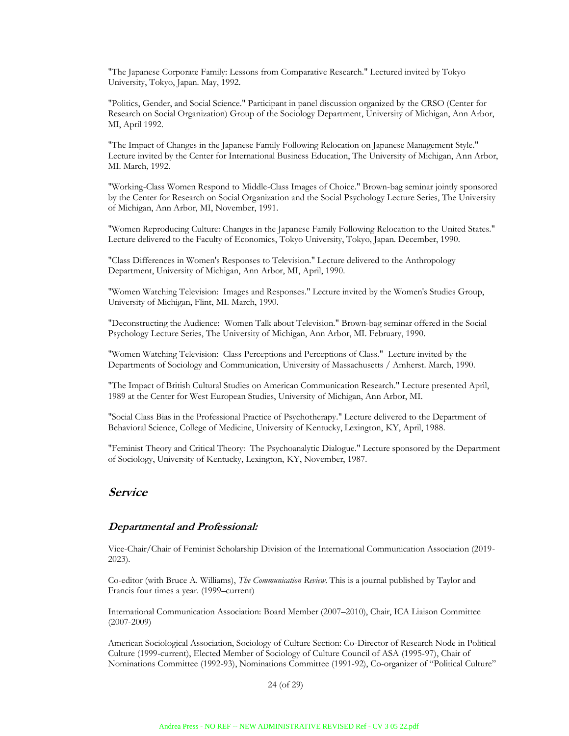"The Japanese Corporate Family: Lessons from Comparative Research." Lectured invited by Tokyo University, Tokyo, Japan. May, 1992.

"Politics, Gender, and Social Science." Participant in panel discussion organized by the CRSO (Center for Research on Social Organization) Group of the Sociology Department, University of Michigan, Ann Arbor, MI, April 1992.

"The Impact of Changes in the Japanese Family Following Relocation on Japanese Management Style." Lecture invited by the Center for International Business Education, The University of Michigan, Ann Arbor, MI. March, 1992.

"Working-Class Women Respond to Middle-Class Images of Choice." Brown-bag seminar jointly sponsored by the Center for Research on Social Organization and the Social Psychology Lecture Series, The University of Michigan, Ann Arbor, MI, November, 1991.

"Women Reproducing Culture: Changes in the Japanese Family Following Relocation to the United States." Lecture delivered to the Faculty of Economics, Tokyo University, Tokyo, Japan. December, 1990.

"Class Differences in Women's Responses to Television." Lecture delivered to the Anthropology Department, University of Michigan, Ann Arbor, MI, April, 1990.

"Women Watching Television: Images and Responses." Lecture invited by the Women's Studies Group, University of Michigan, Flint, MI. March, 1990.

"Deconstructing the Audience: Women Talk about Television." Brown-bag seminar offered in the Social Psychology Lecture Series, The University of Michigan, Ann Arbor, MI. February, 1990.

"Women Watching Television: Class Perceptions and Perceptions of Class." Lecture invited by the Departments of Sociology and Communication, University of Massachusetts / Amherst. March, 1990.

"The Impact of British Cultural Studies on American Communication Research." Lecture presented April, 1989 at the Center for West European Studies, University of Michigan, Ann Arbor, MI.

"Social Class Bias in the Professional Practice of Psychotherapy." Lecture delivered to the Department of Behavioral Science, College of Medicine, University of Kentucky, Lexington, KY, April, 1988.

"Feminist Theory and Critical Theory: The Psychoanalytic Dialogue." Lecture sponsored by the Department of Sociology, University of Kentucky, Lexington, KY, November, 1987.

# **Service**

#### **Departmental and Professional:**

Vice-Chair/Chair of Feminist Scholarship Division of the International Communication Association (2019- 2023).

Co-editor (with Bruce A. Williams), *The Communication Review*. This is a journal published by Taylor and Francis four times a year. (1999–current)

International Communication Association: Board Member (2007–2010), Chair, ICA Liaison Committee (2007-2009)

American Sociological Association, Sociology of Culture Section: Co-Director of Research Node in Political Culture (1999-current), Elected Member of Sociology of Culture Council of ASA (1995-97), Chair of Nominations Committee (1992-93), Nominations Committee (1991-92), Co-organizer of "Political Culture"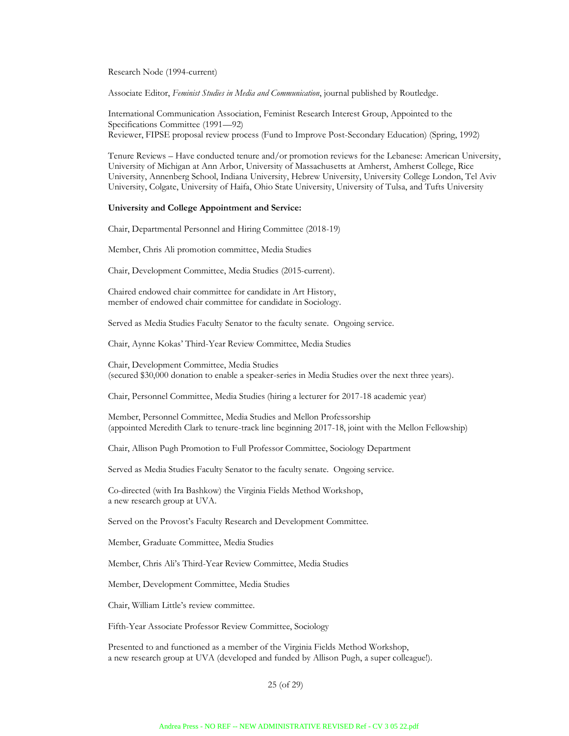Research Node (1994-current)

Associate Editor, *Feminist Studies in Media and Communication*, journal published by Routledge.

International Communication Association, Feminist Research Interest Group, Appointed to the Specifications Committee (1991—92) Reviewer, FIPSE proposal review process (Fund to Improve Post-Secondary Education) (Spring, 1992)

Tenure Reviews – Have conducted tenure and/or promotion reviews for the Lebanese: American University, University of Michigan at Ann Arbor, University of Massachusetts at Amherst, Amherst College, Rice University, Annenberg School, Indiana University, Hebrew University, University College London, Tel Aviv University, Colgate, University of Haifa, Ohio State University, University of Tulsa, and Tufts University

#### **University and College Appointment and Service:**

Chair, Departmental Personnel and Hiring Committee (2018-19)

Member, Chris Ali promotion committee, Media Studies

Chair, Development Committee, Media Studies (2015-current).

Chaired endowed chair committee for candidate in Art History, member of endowed chair committee for candidate in Sociology.

Served as Media Studies Faculty Senator to the faculty senate. Ongoing service.

Chair, Aynne Kokas' Third-Year Review Committee, Media Studies

Chair, Development Committee, Media Studies (secured \$30,000 donation to enable a speaker-series in Media Studies over the next three years).

Chair, Personnel Committee, Media Studies (hiring a lecturer for 2017-18 academic year)

Member, Personnel Committee, Media Studies and Mellon Professorship (appointed Meredith Clark to tenure-track line beginning 2017-18, joint with the Mellon Fellowship)

Chair, Allison Pugh Promotion to Full Professor Committee, Sociology Department

Served as Media Studies Faculty Senator to the faculty senate. Ongoing service.

Co-directed (with Ira Bashkow) the Virginia Fields Method Workshop, a new research group at UVA.

Served on the Provost's Faculty Research and Development Committee.

Member, Graduate Committee, Media Studies

Member, Chris Ali's Third-Year Review Committee, Media Studies

Member, Development Committee, Media Studies

Chair, William Little's review committee.

Fifth-Year Associate Professor Review Committee, Sociology

Presented to and functioned as a member of the Virginia Fields Method Workshop, a new research group at UVA (developed and funded by Allison Pugh, a super colleague!).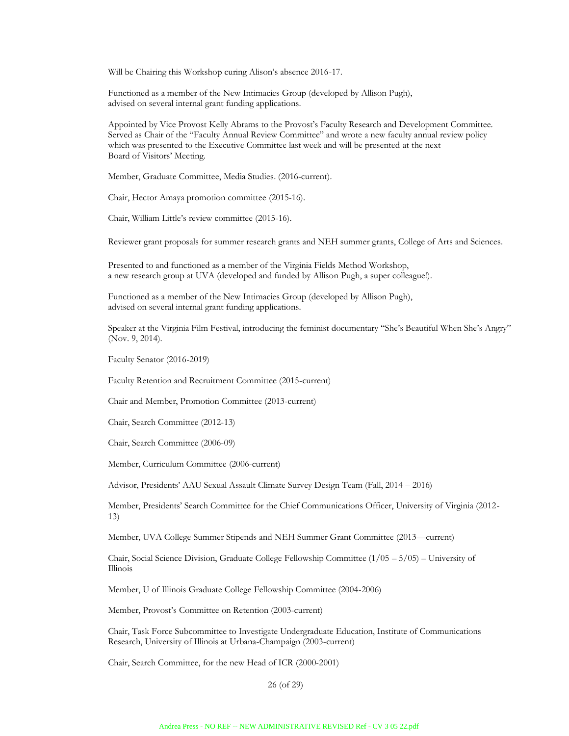Will be Chairing this Workshop curing Alison's absence 2016-17.

Functioned as a member of the New Intimacies Group (developed by Allison Pugh), advised on several internal grant funding applications.

Appointed by Vice Provost Kelly Abrams to the Provost's Faculty Research and Development Committee. Served as Chair of the "Faculty Annual Review Committee" and wrote a new faculty annual review policy which was presented to the Executive Committee last week and will be presented at the next Board of Visitors' Meeting.

Member, Graduate Committee, Media Studies. (2016-current).

Chair, Hector Amaya promotion committee (2015-16).

Chair, William Little's review committee (2015-16).

Reviewer grant proposals for summer research grants and NEH summer grants, College of Arts and Sciences.

Presented to and functioned as a member of the Virginia Fields Method Workshop, a new research group at UVA (developed and funded by Allison Pugh, a super colleague!).

Functioned as a member of the New Intimacies Group (developed by Allison Pugh), advised on several internal grant funding applications.

Speaker at the Virginia Film Festival, introducing the feminist documentary "She's Beautiful When She's Angry" (Nov. 9, 2014).

Faculty Senator (2016-2019)

Faculty Retention and Recruitment Committee (2015-current)

Chair and Member, Promotion Committee (2013-current)

Chair, Search Committee (2012-13)

Chair, Search Committee (2006-09)

Member, Curriculum Committee (2006-current)

Advisor, Presidents' AAU Sexual Assault Climate Survey Design Team (Fall, 2014 – 2016)

Member, Presidents' Search Committee for the Chief Communications Officer, University of Virginia (2012- 13)

Member, UVA College Summer Stipends and NEH Summer Grant Committee (2013—current)

Chair, Social Science Division, Graduate College Fellowship Committee (1/05 – 5/05) – University of Illinois

Member, U of Illinois Graduate College Fellowship Committee (2004-2006)

Member, Provost's Committee on Retention (2003-current)

Chair, Task Force Subcommittee to Investigate Undergraduate Education, Institute of Communications Research, University of Illinois at Urbana-Champaign (2003-current)

Chair, Search Committee, for the new Head of ICR (2000-2001)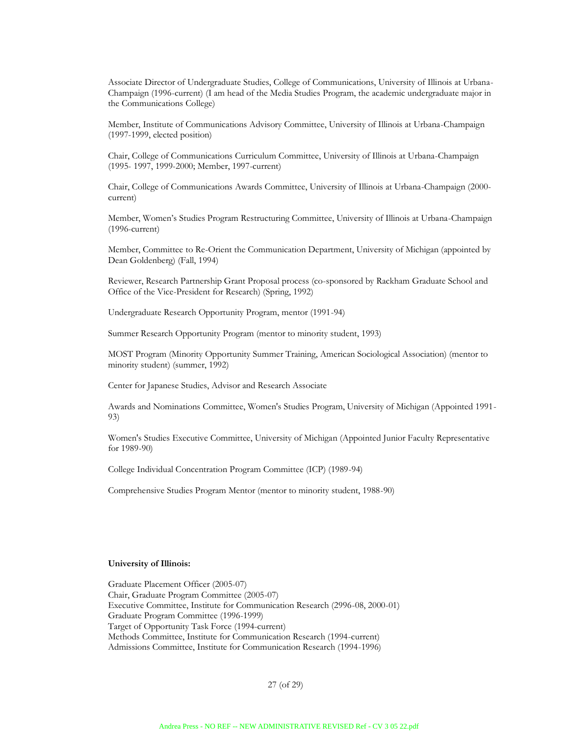Associate Director of Undergraduate Studies, College of Communications, University of Illinois at Urbana-Champaign (1996-current) (I am head of the Media Studies Program, the academic undergraduate major in the Communications College)

Member, Institute of Communications Advisory Committee, University of Illinois at Urbana-Champaign (1997-1999, elected position)

Chair, College of Communications Curriculum Committee, University of Illinois at Urbana-Champaign (1995- 1997, 1999-2000; Member, 1997-current)

Chair, College of Communications Awards Committee, University of Illinois at Urbana-Champaign (2000 current)

Member, Women's Studies Program Restructuring Committee, University of Illinois at Urbana-Champaign (1996-current)

Member, Committee to Re-Orient the Communication Department, University of Michigan (appointed by Dean Goldenberg) (Fall, 1994)

Reviewer, Research Partnership Grant Proposal process (co-sponsored by Rackham Graduate School and Office of the Vice-President for Research) (Spring, 1992)

Undergraduate Research Opportunity Program, mentor (1991-94)

Summer Research Opportunity Program (mentor to minority student, 1993)

MOST Program (Minority Opportunity Summer Training, American Sociological Association) (mentor to minority student) (summer, 1992)

Center for Japanese Studies, Advisor and Research Associate

Awards and Nominations Committee, Women's Studies Program, University of Michigan (Appointed 1991- 93)

Women's Studies Executive Committee, University of Michigan (Appointed Junior Faculty Representative for 1989-90)

College Individual Concentration Program Committee (ICP) (1989-94)

Comprehensive Studies Program Mentor (mentor to minority student, 1988-90)

#### **University of Illinois:**

Graduate Placement Officer (2005-07) Chair, Graduate Program Committee (2005-07) Executive Committee, Institute for Communication Research (2996-08, 2000-01) Graduate Program Committee (1996-1999) Target of Opportunity Task Force (1994-current) Methods Committee, Institute for Communication Research (1994-current) Admissions Committee, Institute for Communication Research (1994-1996)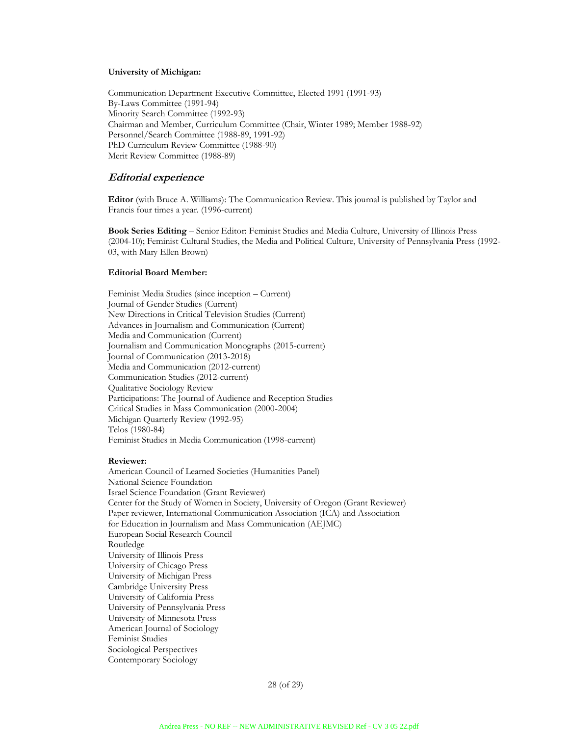#### **University of Michigan:**

Communication Department Executive Committee, Elected 1991 (1991-93) By-Laws Committee (1991-94) Minority Search Committee (1992-93) Chairman and Member, Curriculum Committee (Chair, Winter 1989; Member 1988-92) Personnel/Search Committee (1988-89, 1991-92) PhD Curriculum Review Committee (1988-90) Merit Review Committee (1988-89)

#### **Editorial experience**

**Editor** (with Bruce A. Williams): The Communication Review. This journal is published by Taylor and Francis four times a year. (1996-current)

**Book Series Editing** – Senior Editor: Feminist Studies and Media Culture, University of Illinois Press (2004-10); Feminist Cultural Studies, the Media and Political Culture, University of Pennsylvania Press (1992- 03, with Mary Ellen Brown)

#### **Editorial Board Member:**

Feminist Media Studies (since inception – Current) Journal of Gender Studies (Current) New Directions in Critical Television Studies (Current) Advances in Journalism and Communication (Current) Media and Communication (Current) Journalism and Communication Monographs (2015-current) Journal of Communication (2013-2018) Media and Communication (2012-current) Communication Studies (2012-current) Qualitative Sociology Review Participations: The Journal of Audience and Reception Studies Critical Studies in Mass Communication (2000-2004) Michigan Quarterly Review (1992-95) Telos (1980-84) Feminist Studies in Media Communication (1998-current)

#### **Reviewer:**

American Council of Learned Societies (Humanities Panel) National Science Foundation Israel Science Foundation (Grant Reviewer) Center for the Study of Women in Society, University of Oregon (Grant Reviewer) Paper reviewer, International Communication Association (ICA) and Association for Education in Journalism and Mass Communication (AEJMC) European Social Research Council Routledge University of Illinois Press University of Chicago Press University of Michigan Press Cambridge University Press University of California Press University of Pennsylvania Press University of Minnesota Press American Journal of Sociology Feminist Studies Sociological Perspectives Contemporary Sociology